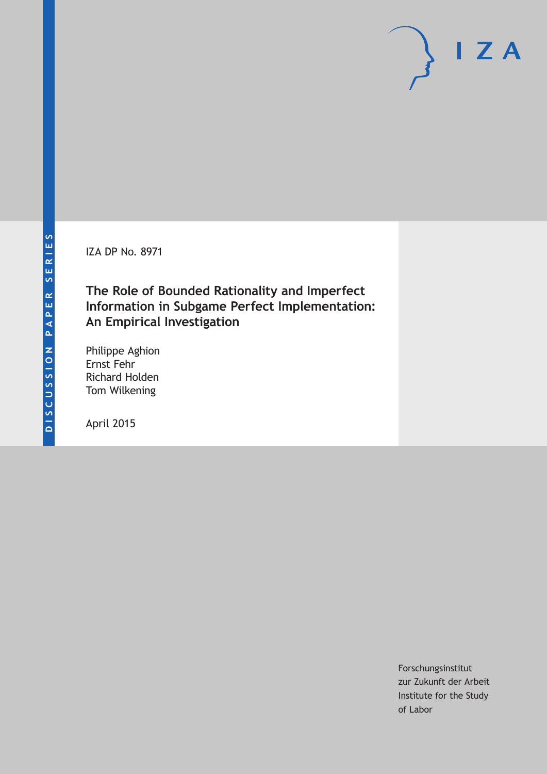IZA DP No. 8971

**The Role of Bounded Rationality and Imperfect Information in Subgame Perfect Implementation: An Empirical Investigation**

Philippe Aghion Ernst Fehr Richard Holden Tom Wilkening

April 2015

Forschungsinstitut zur Zukunft der Arbeit Institute for the Study of Labor

 $I Z A$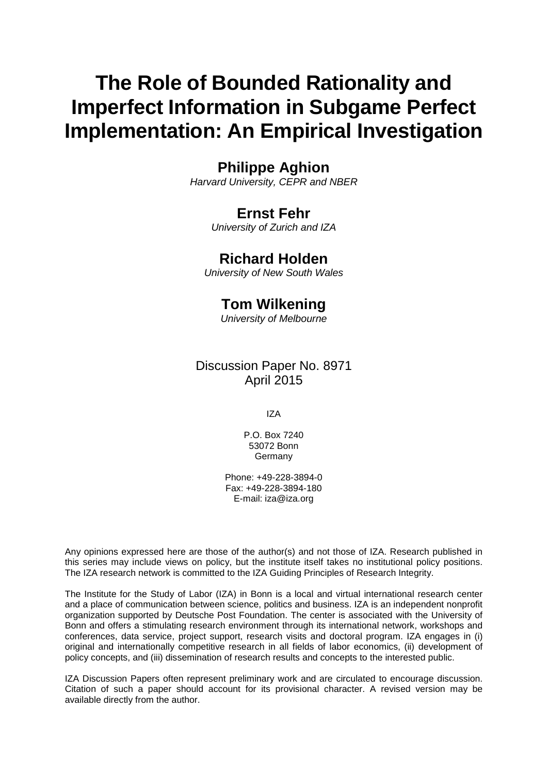# **The Role of Bounded Rationality and Imperfect Information in Subgame Perfect Implementation: An Empirical Investigation**

### **Philippe Aghion**

*Harvard University, CEPR and NBER*

### **Ernst Fehr**

*University of Zurich and IZA*

### **Richard Holden**

*University of New South Wales*

### **Tom Wilkening**

*University of Melbourne*

### Discussion Paper No. 8971 April 2015

IZA

P.O. Box 7240 53072 Bonn Germany

Phone: +49-228-3894-0 Fax: +49-228-3894-180 E-mail: iza@iza.org

Any opinions expressed here are those of the author(s) and not those of IZA. Research published in this series may include views on policy, but the institute itself takes no institutional policy positions. The IZA research network is committed to the IZA Guiding Principles of Research Integrity.

The Institute for the Study of Labor (IZA) in Bonn is a local and virtual international research center and a place of communication between science, politics and business. IZA is an independent nonprofit organization supported by Deutsche Post Foundation. The center is associated with the University of Bonn and offers a stimulating research environment through its international network, workshops and conferences, data service, project support, research visits and doctoral program. IZA engages in (i) original and internationally competitive research in all fields of labor economics, (ii) development of policy concepts, and (iii) dissemination of research results and concepts to the interested public.

<span id="page-1-0"></span>IZA Discussion Papers often represent preliminary work and are circulated to encourage discussion. Citation of such a paper should account for its provisional character. A revised version may be available directly from the author.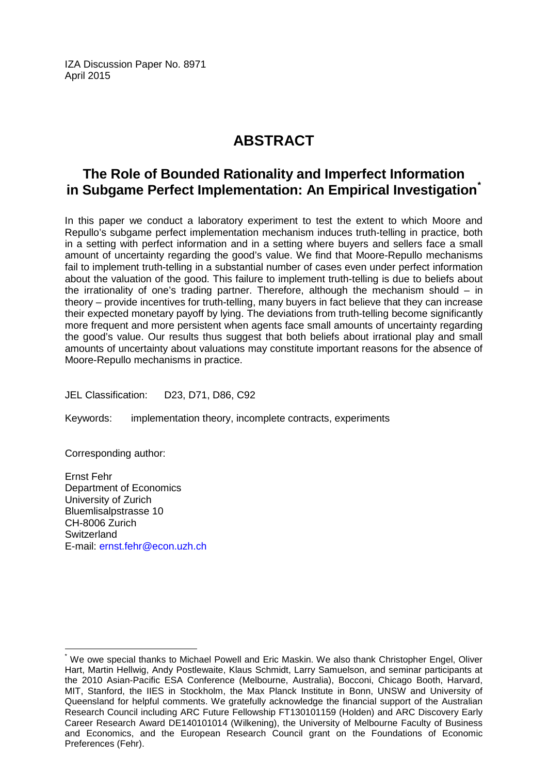IZA Discussion Paper No. 8971 April 2015

### **ABSTRACT**

### **The Role of Bounded Rationality and Imperfect Information in Subgame Perfect Implementation: An Empirical Investigation[\\*](#page-1-0)**

In this paper we conduct a laboratory experiment to test the extent to which Moore and Repullo's subgame perfect implementation mechanism induces truth-telling in practice, both in a setting with perfect information and in a setting where buyers and sellers face a small amount of uncertainty regarding the good's value. We find that Moore-Repullo mechanisms fail to implement truth-telling in a substantial number of cases even under perfect information about the valuation of the good. This failure to implement truth-telling is due to beliefs about the irrationality of one's trading partner. Therefore, although the mechanism should  $-$  in theory – provide incentives for truth-telling, many buyers in fact believe that they can increase their expected monetary payoff by lying. The deviations from truth-telling become significantly more frequent and more persistent when agents face small amounts of uncertainty regarding the good's value. Our results thus suggest that both beliefs about irrational play and small amounts of uncertainty about valuations may constitute important reasons for the absence of Moore-Repullo mechanisms in practice.

JEL Classification: D23, D71, D86, C92

Keywords: implementation theory, incomplete contracts, experiments

Corresponding author:

Ernst Fehr Department of Economics University of Zurich Bluemlisalpstrasse 10 CH-8006 Zurich **Switzerland** E-mail: [ernst.fehr@econ.uzh.ch](mailto:ernst.fehr@econ.uzh.ch)

We owe special thanks to Michael Powell and Eric Maskin. We also thank Christopher Engel, Oliver Hart, Martin Hellwig, Andy Postlewaite, Klaus Schmidt, Larry Samuelson, and seminar participants at the 2010 Asian-Pacific ESA Conference (Melbourne, Australia), Bocconi, Chicago Booth, Harvard, MIT, Stanford, the IIES in Stockholm, the Max Planck Institute in Bonn, UNSW and University of Queensland for helpful comments. We gratefully acknowledge the financial support of the Australian Research Council including ARC Future Fellowship FT130101159 (Holden) and ARC Discovery Early Career Research Award DE140101014 (Wilkening), the University of Melbourne Faculty of Business and Economics, and the European Research Council grant on the Foundations of Economic Preferences (Fehr).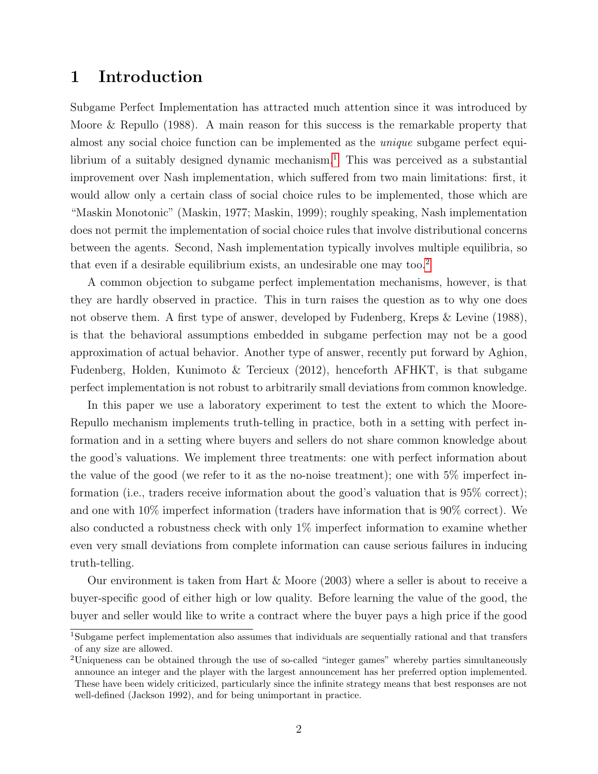### 1 Introduction

Subgame Perfect Implementation has attracted much attention since it was introduced by Moore & Repullo (1988). A main reason for this success is the remarkable property that almost any social choice function can be implemented as the unique subgame perfect equi-librium of a suitably designed dynamic mechanism.<sup>[1](#page--1-0)</sup> This was perceived as a substantial improvement over Nash implementation, which suffered from two main limitations: first, it would allow only a certain class of social choice rules to be implemented, those which are "Maskin Monotonic" (Maskin, 1977; Maskin, 1999); roughly speaking, Nash implementation does not permit the implementation of social choice rules that involve distributional concerns between the agents. Second, Nash implementation typically involves multiple equilibria, so that even if a desirable equilibrium exists, an undesirable one may too.<sup>[2](#page--1-0)</sup>

A common objection to subgame perfect implementation mechanisms, however, is that they are hardly observed in practice. This in turn raises the question as to why one does not observe them. A first type of answer, developed by Fudenberg, Kreps & Levine (1988), is that the behavioral assumptions embedded in subgame perfection may not be a good approximation of actual behavior. Another type of answer, recently put forward by Aghion, Fudenberg, Holden, Kunimoto & Tercieux (2012), henceforth AFHKT, is that subgame perfect implementation is not robust to arbitrarily small deviations from common knowledge.

In this paper we use a laboratory experiment to test the extent to which the Moore-Repullo mechanism implements truth-telling in practice, both in a setting with perfect information and in a setting where buyers and sellers do not share common knowledge about the good's valuations. We implement three treatments: one with perfect information about the value of the good (we refer to it as the no-noise treatment); one with 5% imperfect information (i.e., traders receive information about the good's valuation that is 95% correct); and one with 10% imperfect information (traders have information that is 90% correct). We also conducted a robustness check with only 1% imperfect information to examine whether even very small deviations from complete information can cause serious failures in inducing truth-telling.

Our environment is taken from Hart & Moore (2003) where a seller is about to receive a buyer-specific good of either high or low quality. Before learning the value of the good, the buyer and seller would like to write a contract where the buyer pays a high price if the good

<sup>1</sup>Subgame perfect implementation also assumes that individuals are sequentially rational and that transfers of any size are allowed.

<sup>2</sup>Uniqueness can be obtained through the use of so-called "integer games" whereby parties simultaneously announce an integer and the player with the largest announcement has her preferred option implemented. These have been widely criticized, particularly since the infinite strategy means that best responses are not well-defined (Jackson 1992), and for being unimportant in practice.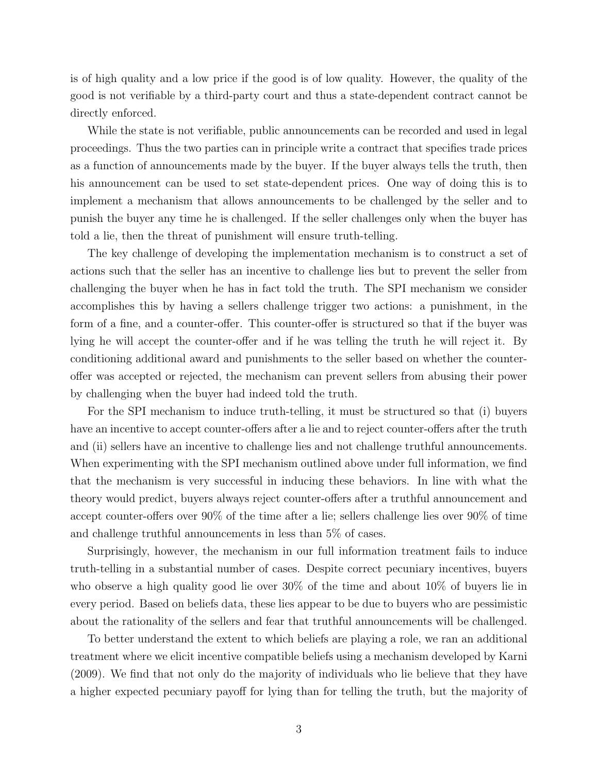is of high quality and a low price if the good is of low quality. However, the quality of the good is not verifiable by a third-party court and thus a state-dependent contract cannot be directly enforced.

While the state is not verifiable, public announcements can be recorded and used in legal proceedings. Thus the two parties can in principle write a contract that specifies trade prices as a function of announcements made by the buyer. If the buyer always tells the truth, then his announcement can be used to set state-dependent prices. One way of doing this is to implement a mechanism that allows announcements to be challenged by the seller and to punish the buyer any time he is challenged. If the seller challenges only when the buyer has told a lie, then the threat of punishment will ensure truth-telling.

The key challenge of developing the implementation mechanism is to construct a set of actions such that the seller has an incentive to challenge lies but to prevent the seller from challenging the buyer when he has in fact told the truth. The SPI mechanism we consider accomplishes this by having a sellers challenge trigger two actions: a punishment, in the form of a fine, and a counter-offer. This counter-offer is structured so that if the buyer was lying he will accept the counter-offer and if he was telling the truth he will reject it. By conditioning additional award and punishments to the seller based on whether the counteroffer was accepted or rejected, the mechanism can prevent sellers from abusing their power by challenging when the buyer had indeed told the truth.

For the SPI mechanism to induce truth-telling, it must be structured so that (i) buyers have an incentive to accept counter-offers after a lie and to reject counter-offers after the truth and (ii) sellers have an incentive to challenge lies and not challenge truthful announcements. When experimenting with the SPI mechanism outlined above under full information, we find that the mechanism is very successful in inducing these behaviors. In line with what the theory would predict, buyers always reject counter-offers after a truthful announcement and accept counter-offers over 90% of the time after a lie; sellers challenge lies over 90% of time and challenge truthful announcements in less than 5% of cases.

Surprisingly, however, the mechanism in our full information treatment fails to induce truth-telling in a substantial number of cases. Despite correct pecuniary incentives, buyers who observe a high quality good lie over 30% of the time and about 10% of buyers lie in every period. Based on beliefs data, these lies appear to be due to buyers who are pessimistic about the rationality of the sellers and fear that truthful announcements will be challenged.

To better understand the extent to which beliefs are playing a role, we ran an additional treatment where we elicit incentive compatible beliefs using a mechanism developed by Karni (2009). We find that not only do the majority of individuals who lie believe that they have a higher expected pecuniary payoff for lying than for telling the truth, but the majority of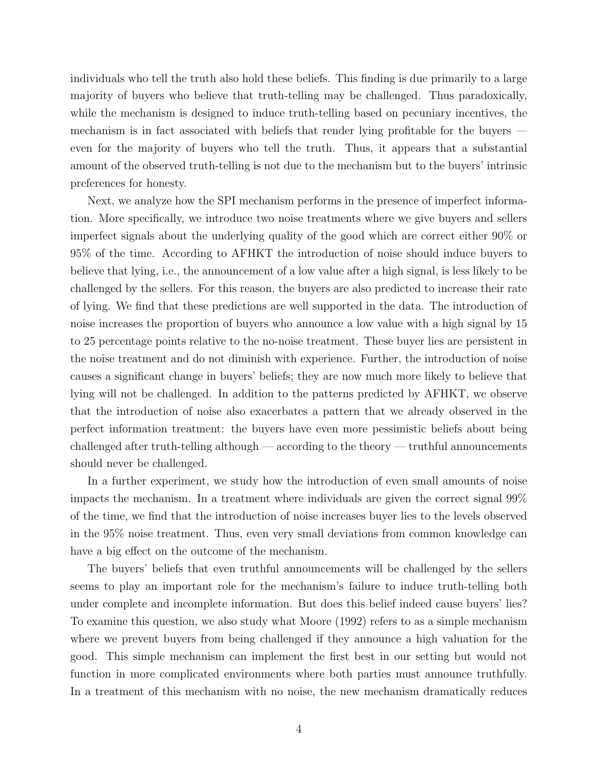individuals who tell the truth also hold these beliefs. This finding is due primarily to a large majority of buyers who believe that truth-telling may be challenged. Thus paradoxically, while the mechanism is designed to induce truth-telling based on pecuniary incentives, the mechanism is in fact associated with beliefs that render lying profitable for the buyers even for the majority of buyers who tell the truth. Thus, it appears that a substantial amount of the observed truth-telling is not due to the mechanism but to the buyers' intrinsic preferences for honesty.

Next, we analyze how the SPI mechanism performs in the presence of imperfect information. More specifically, we introduce two noise treatments where we give buyers and sellers imperfect signals about the underlying quality of the good which are correct either 90% or 95% of the time. According to AFHKT the introduction of noise should induce buyers to believe that lying, i.e., the announcement of a low value after a high signal, is less likely to be challenged by the sellers. For this reason, the buyers are also predicted to increase their rate of lying. We find that these predictions are well supported in the data. The introduction of noise increases the proportion of buyers who announce a low value with a high signal by 15 to 25 percentage points relative to the no-noise treatment. These buyer lies are persistent in the noise treatment and do not diminish with experience. Further, the introduction of noise causes a significant change in buyers' beliefs; they are now much more likely to believe that lying will not be challenged. In addition to the patterns predicted by AFHKT, we observe that the introduction of noise also exacerbates a pattern that we already observed in the perfect information treatment: the buyers have even more pessimistic beliefs about being challenged after truth-telling although — according to the theory — truthful announcements should never be challenged.

In a further experiment, we study how the introduction of even small amounts of noise impacts the mechanism. In a treatment where individuals are given the correct signal 99% of the time, we find that the introduction of noise increases buyer lies to the levels observed in the 95% noise treatment. Thus, even very small deviations from common knowledge can have a big effect on the outcome of the mechanism.

The buyers' beliefs that even truthful announcements will be challenged by the sellers seems to play an important role for the mechanism's failure to induce truth-telling both under complete and incomplete information. But does this belief indeed cause buyers' lies? To examine this question, we also study what Moore (1992) refers to as a simple mechanism where we prevent buyers from being challenged if they announce a high valuation for the good. This simple mechanism can implement the first best in our setting but would not function in more complicated environments where both parties must announce truthfully. In a treatment of this mechanism with no noise, the new mechanism dramatically reduces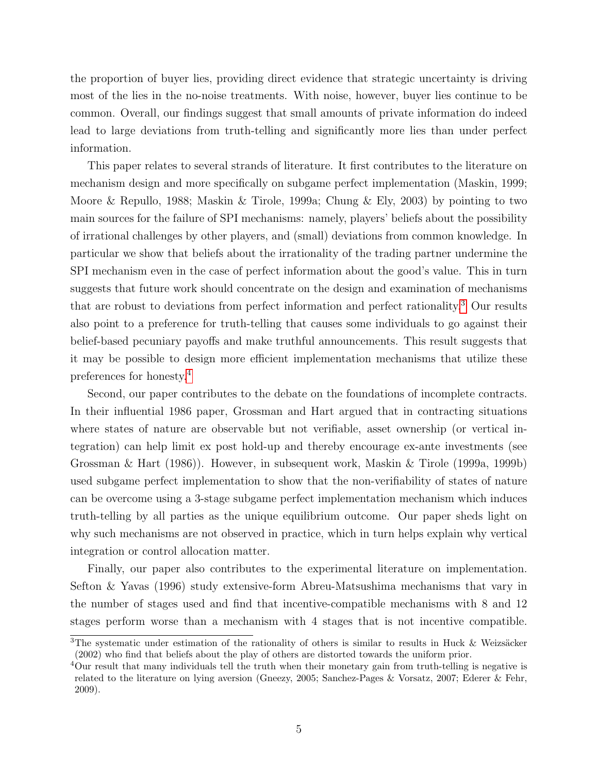the proportion of buyer lies, providing direct evidence that strategic uncertainty is driving most of the lies in the no-noise treatments. With noise, however, buyer lies continue to be common. Overall, our findings suggest that small amounts of private information do indeed lead to large deviations from truth-telling and significantly more lies than under perfect information.

This paper relates to several strands of literature. It first contributes to the literature on mechanism design and more specifically on subgame perfect implementation (Maskin, 1999; Moore & Repullo, 1988; Maskin & Tirole, 1999a; Chung & Ely, 2003) by pointing to two main sources for the failure of SPI mechanisms: namely, players' beliefs about the possibility of irrational challenges by other players, and (small) deviations from common knowledge. In particular we show that beliefs about the irrationality of the trading partner undermine the SPI mechanism even in the case of perfect information about the good's value. This in turn suggests that future work should concentrate on the design and examination of mechanisms that are robust to deviations from perfect information and perfect rationality.[3](#page--1-0) Our results also point to a preference for truth-telling that causes some individuals to go against their belief-based pecuniary payoffs and make truthful announcements. This result suggests that it may be possible to design more efficient implementation mechanisms that utilize these preferences for honesty.[4](#page--1-0)

Second, our paper contributes to the debate on the foundations of incomplete contracts. In their influential 1986 paper, Grossman and Hart argued that in contracting situations where states of nature are observable but not verifiable, asset ownership (or vertical integration) can help limit ex post hold-up and thereby encourage ex-ante investments (see Grossman & Hart (1986)). However, in subsequent work, Maskin & Tirole (1999a, 1999b) used subgame perfect implementation to show that the non-verifiability of states of nature can be overcome using a 3-stage subgame perfect implementation mechanism which induces truth-telling by all parties as the unique equilibrium outcome. Our paper sheds light on why such mechanisms are not observed in practice, which in turn helps explain why vertical integration or control allocation matter.

Finally, our paper also contributes to the experimental literature on implementation. Sefton & Yavas (1996) study extensive-form Abreu-Matsushima mechanisms that vary in the number of stages used and find that incentive-compatible mechanisms with 8 and 12 stages perform worse than a mechanism with 4 stages that is not incentive compatible.

 $3$ The systematic under estimation of the rationality of others is similar to results in Huck & Weizsäcker (2002) who find that beliefs about the play of others are distorted towards the uniform prior.

<sup>&</sup>lt;sup>4</sup>Our result that many individuals tell the truth when their monetary gain from truth-telling is negative is related to the literature on lying aversion (Gneezy, 2005; Sanchez-Pages & Vorsatz, 2007; Ederer & Fehr, 2009).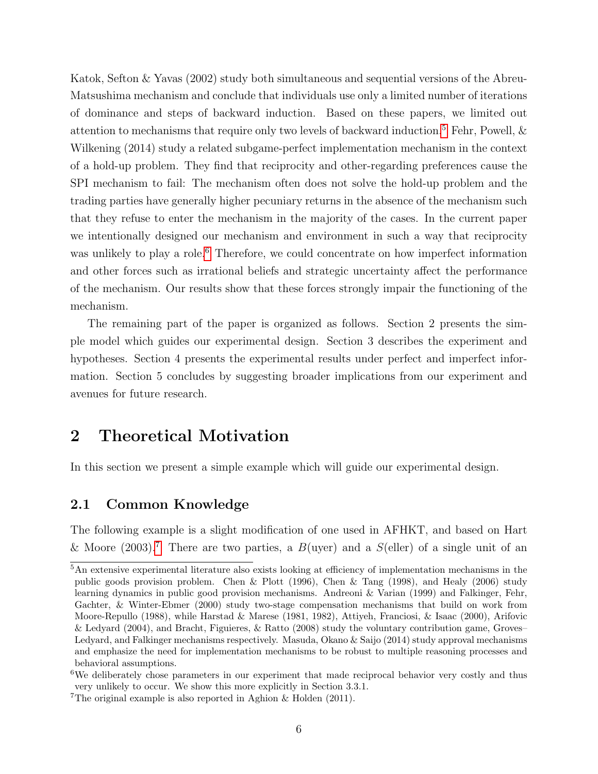Katok, Sefton & Yavas (2002) study both simultaneous and sequential versions of the Abreu-Matsushima mechanism and conclude that individuals use only a limited number of iterations of dominance and steps of backward induction. Based on these papers, we limited out attention to mechanisms that require only two levels of backward induction.<sup>[5](#page--1-0)</sup> Fehr, Powell,  $\&$ Wilkening (2014) study a related subgame-perfect implementation mechanism in the context of a hold-up problem. They find that reciprocity and other-regarding preferences cause the SPI mechanism to fail: The mechanism often does not solve the hold-up problem and the trading parties have generally higher pecuniary returns in the absence of the mechanism such that they refuse to enter the mechanism in the majority of the cases. In the current paper we intentionally designed our mechanism and environment in such a way that reciprocity was unlikely to play a role.<sup>[6](#page--1-0)</sup> Therefore, we could concentrate on how imperfect information and other forces such as irrational beliefs and strategic uncertainty affect the performance of the mechanism. Our results show that these forces strongly impair the functioning of the mechanism.

The remaining part of the paper is organized as follows. Section 2 presents the simple model which guides our experimental design. Section 3 describes the experiment and hypotheses. Section 4 presents the experimental results under perfect and imperfect information. Section 5 concludes by suggesting broader implications from our experiment and avenues for future research.

### 2 Theoretical Motivation

In this section we present a simple example which will guide our experimental design.

#### 2.1 Common Knowledge

The following example is a slight modification of one used in AFHKT, and based on Hart & Moore (2003).<sup>[7](#page--1-0)</sup> There are two parties, a  $B(\text{uyer})$  and a  $S(\text{eller})$  of a single unit of an

<sup>5</sup>An extensive experimental literature also exists looking at efficiency of implementation mechanisms in the public goods provision problem. Chen & Plott (1996), Chen & Tang (1998), and Healy (2006) study learning dynamics in public good provision mechanisms. Andreoni & Varian (1999) and Falkinger, Fehr, Gachter, & Winter-Ebmer (2000) study two-stage compensation mechanisms that build on work from Moore-Repullo (1988), while Harstad & Marese (1981, 1982), Attiyeh, Franciosi, & Isaac (2000), Arifovic & Ledyard (2004), and Bracht, Figuieres, & Ratto (2008) study the voluntary contribution game, Groves– Ledyard, and Falkinger mechanisms respectively. Masuda, Okano & Saijo (2014) study approval mechanisms and emphasize the need for implementation mechanisms to be robust to multiple reasoning processes and behavioral assumptions.

<sup>&</sup>lt;sup>6</sup>We deliberately chose parameters in our experiment that made reciprocal behavior very costly and thus very unlikely to occur. We show this more explicitly in Section 3.3.1.

<sup>7</sup>The original example is also reported in Aghion & Holden (2011).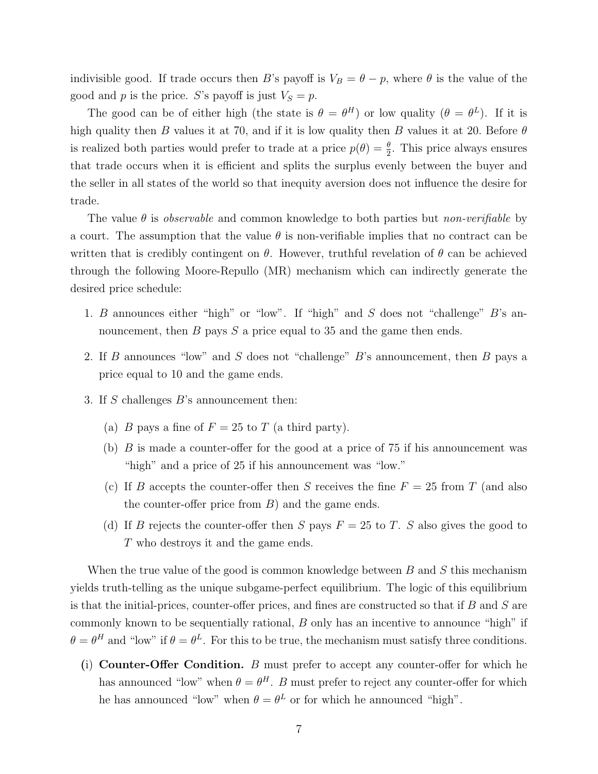indivisible good. If trade occurs then B's payoff is  $V_B = \theta - p$ , where  $\theta$  is the value of the good and p is the price. S's payoff is just  $V_s = p$ .

The good can be of either high (the state is  $\theta = \theta^H$ ) or low quality  $(\theta = \theta^L)$ . If it is high quality then B values it at 70, and if it is low quality then B values it at 20. Before  $\theta$ is realized both parties would prefer to trade at a price  $p(\theta) = \frac{\theta}{2}$ . This price always ensures that trade occurs when it is efficient and splits the surplus evenly between the buyer and the seller in all states of the world so that inequity aversion does not influence the desire for trade.

The value  $\theta$  is *observable* and common knowledge to both parties but *non-verifiable* by a court. The assumption that the value  $\theta$  is non-verifiable implies that no contract can be written that is credibly contingent on  $\theta$ . However, truthful revelation of  $\theta$  can be achieved through the following Moore-Repullo (MR) mechanism which can indirectly generate the desired price schedule:

- 1. B announces either "high" or "low". If "high" and S does not "challenge" B's announcement, then  $B$  pays  $S$  a price equal to 35 and the game then ends.
- 2. If B announces "low" and S does not "challenge" B's announcement, then B pays a price equal to 10 and the game ends.
- 3. If S challenges B's announcement then:
	- (a) B pays a fine of  $F = 25$  to T (a third party).
	- (b)  $B$  is made a counter-offer for the good at a price of 75 if his announcement was "high" and a price of 25 if his announcement was "low."
	- (c) If B accepts the counter-offer then S receives the fine  $F = 25$  from T (and also the counter-offer price from  $B$ ) and the game ends.
	- (d) If B rejects the counter-offer then S pays  $F = 25$  to T. S also gives the good to T who destroys it and the game ends.

When the true value of the good is common knowledge between  $B$  and  $S$  this mechanism yields truth-telling as the unique subgame-perfect equilibrium. The logic of this equilibrium is that the initial-prices, counter-offer prices, and fines are constructed so that if  $B$  and  $S$  are commonly known to be sequentially rational, B only has an incentive to announce "high" if  $\theta = \theta^H$  and "low" if  $\theta = \theta^L$ . For this to be true, the mechanism must satisfy three conditions.

(i) Counter-Offer Condition. B must prefer to accept any counter-offer for which he has announced "low" when  $\theta = \theta^H$ . B must prefer to reject any counter-offer for which he has announced "low" when  $\theta = \theta^L$  or for which he announced "high".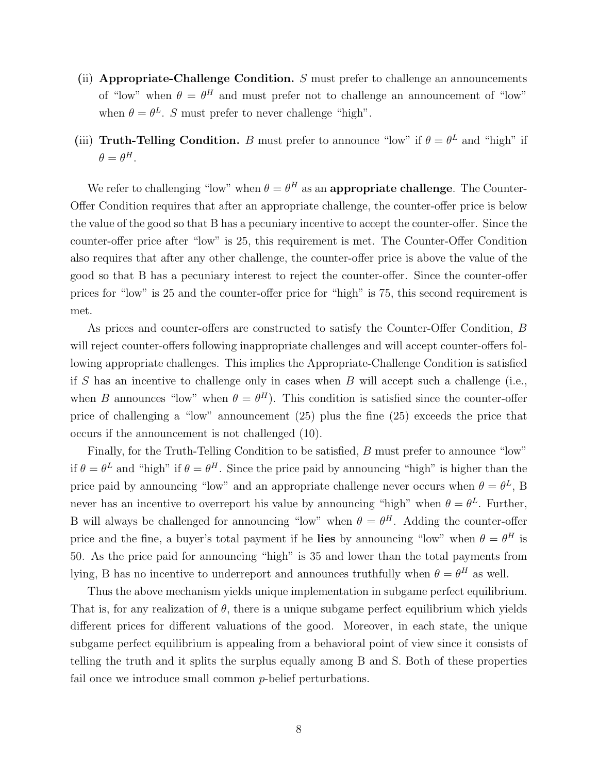- (ii) Appropriate-Challenge Condition.  $S$  must prefer to challenge an announcements of "low" when  $\theta = \theta^H$  and must prefer not to challenge an announcement of "low" when  $\theta = \theta^L$ . S must prefer to never challenge "high".
- (iii) Truth-Telling Condition. B must prefer to announce "low" if  $\theta = \theta^L$  and "high" if  $\theta = \theta^H$ .

We refer to challenging "low" when  $\theta = \theta^H$  as an **appropriate challenge**. The Counter-Offer Condition requires that after an appropriate challenge, the counter-offer price is below the value of the good so that B has a pecuniary incentive to accept the counter-offer. Since the counter-offer price after "low" is 25, this requirement is met. The Counter-Offer Condition also requires that after any other challenge, the counter-offer price is above the value of the good so that B has a pecuniary interest to reject the counter-offer. Since the counter-offer prices for "low" is 25 and the counter-offer price for "high" is 75, this second requirement is met.

As prices and counter-offers are constructed to satisfy the Counter-Offer Condition, B will reject counter-offers following inappropriate challenges and will accept counter-offers following appropriate challenges. This implies the Appropriate-Challenge Condition is satisfied if S has an incentive to challenge only in cases when  $B$  will accept such a challenge (i.e., when B announces "low" when  $\theta = \theta^H$ ). This condition is satisfied since the counter-offer price of challenging a "low" announcement (25) plus the fine (25) exceeds the price that occurs if the announcement is not challenged (10).

Finally, for the Truth-Telling Condition to be satisfied, B must prefer to announce "low" if  $\theta = \theta^L$  and "high" if  $\theta = \theta^H$ . Since the price paid by announcing "high" is higher than the price paid by announcing "low" and an appropriate challenge never occurs when  $\theta = \theta^L$ , B never has an incentive to overreport his value by announcing "high" when  $\theta = \theta^L$ . Further, B will always be challenged for announcing "low" when  $\theta = \theta^H$ . Adding the counter-offer price and the fine, a buyer's total payment if he lies by announcing "low" when  $\theta = \theta^H$  is 50. As the price paid for announcing "high" is 35 and lower than the total payments from lying, B has no incentive to underreport and announces truthfully when  $\theta = \theta^H$  as well.

Thus the above mechanism yields unique implementation in subgame perfect equilibrium. That is, for any realization of  $\theta$ , there is a unique subgame perfect equilibrium which yields different prices for different valuations of the good. Moreover, in each state, the unique subgame perfect equilibrium is appealing from a behavioral point of view since it consists of telling the truth and it splits the surplus equally among B and S. Both of these properties fail once we introduce small common p-belief perturbations.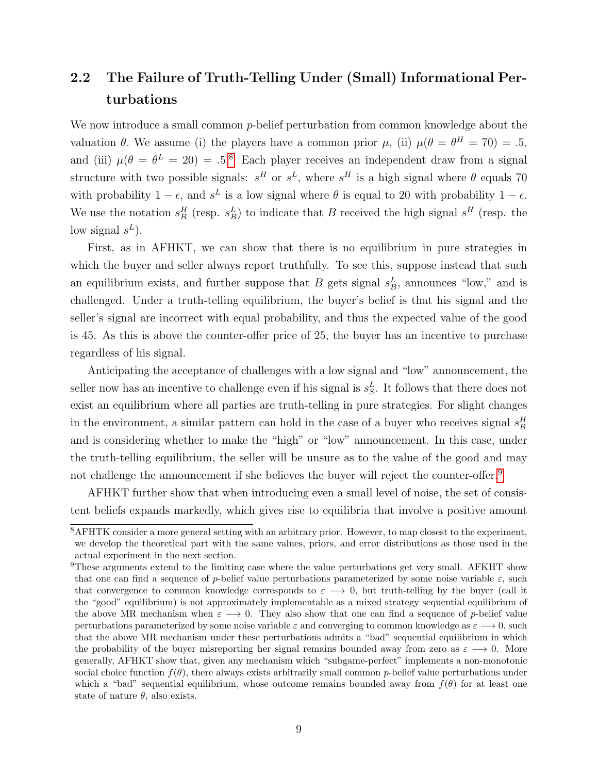### 2.2 The Failure of Truth-Telling Under (Small) Informational Perturbations

We now introduce a small common *p*-belief perturbation from common knowledge about the valuation  $\theta$ . We assume (i) the players have a common prior  $\mu$ , (ii)  $\mu(\theta = \theta^H = 70) = .5$ , and (iii)  $\mu(\theta = \theta^L = 20) = .5^8$  $\mu(\theta = \theta^L = 20) = .5^8$  Each player receives an independent draw from a signal structure with two possible signals:  $s^H$  or  $s^L$ , where  $s^H$  is a high signal where  $\theta$  equals 70 with probability  $1 - \epsilon$ , and  $s^L$  is a low signal where  $\theta$  is equal to 20 with probability  $1 - \epsilon$ . We use the notation  $s_B^H$  (resp.  $s_B^L$ ) to indicate that B received the high signal  $s^H$  (resp. the low signal  $s^L$ ).

First, as in AFHKT, we can show that there is no equilibrium in pure strategies in which the buyer and seller always report truthfully. To see this, suppose instead that such an equilibrium exists, and further suppose that B gets signal  $s_B^L$ , announces "low," and is challenged. Under a truth-telling equilibrium, the buyer's belief is that his signal and the seller's signal are incorrect with equal probability, and thus the expected value of the good is 45. As this is above the counter-offer price of 25, the buyer has an incentive to purchase regardless of his signal.

Anticipating the acceptance of challenges with a low signal and "low" announcement, the seller now has an incentive to challenge even if his signal is  $s_S^L$ . It follows that there does not exist an equilibrium where all parties are truth-telling in pure strategies. For slight changes in the environment, a similar pattern can hold in the case of a buyer who receives signal  $s_B^H$ and is considering whether to make the "high" or "low" announcement. In this case, under the truth-telling equilibrium, the seller will be unsure as to the value of the good and may not challenge the announcement if she believes the buyer will reject the counter-offer.<sup>[9](#page--1-0)</sup>

AFHKT further show that when introducing even a small level of noise, the set of consistent beliefs expands markedly, which gives rise to equilibria that involve a positive amount

<sup>&</sup>lt;sup>8</sup>AFHTK consider a more general setting with an arbitrary prior. However, to map closest to the experiment, we develop the theoretical part with the same values, priors, and error distributions as those used in the actual experiment in the next section.

<sup>9</sup>These arguments extend to the limiting case where the value perturbations get very small. AFKHT show that one can find a sequence of p-belief value perturbations parameterized by some noise variable  $\varepsilon$ , such that convergence to common knowledge corresponds to  $\varepsilon \longrightarrow 0$ , but truth-telling by the buyer (call it the "good" equilibrium) is not approximately implementable as a mixed strategy sequential equilibrium of the above MR mechanism when  $\varepsilon \longrightarrow 0$ . They also show that one can find a sequence of p-belief value perturbations parameterized by some noise variable  $\varepsilon$  and converging to common knowledge as  $\varepsilon \longrightarrow 0$ , such that the above MR mechanism under these perturbations admits a "bad" sequential equilibrium in which the probability of the buyer misreporting her signal remains bounded away from zero as  $\varepsilon \longrightarrow 0$ . More generally, AFHKT show that, given any mechanism which "subgame-perfect" implements a non-monotonic social choice function  $f(\theta)$ , there always exists arbitrarily small common p-belief value perturbations under which a "bad" sequential equilibrium, whose outcome remains bounded away from  $f(\theta)$  for at least one state of nature  $\theta$ , also exists.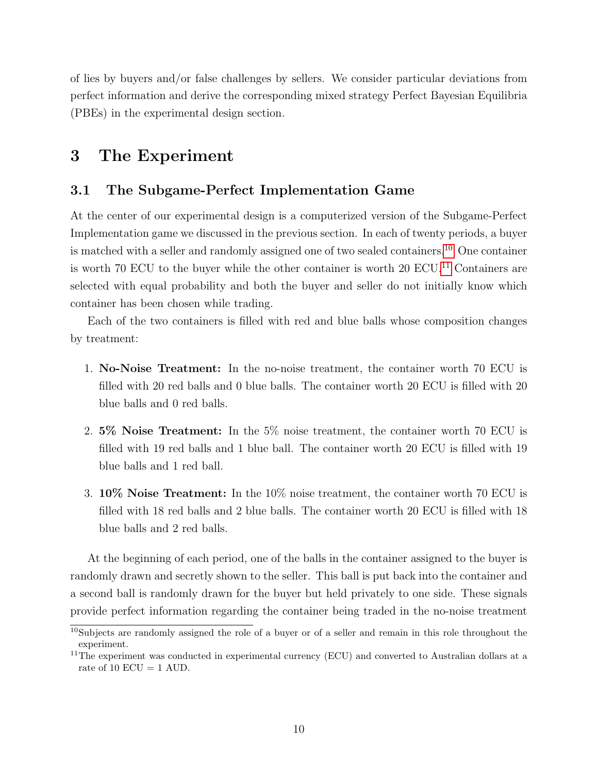of lies by buyers and/or false challenges by sellers. We consider particular deviations from perfect information and derive the corresponding mixed strategy Perfect Bayesian Equilibria (PBEs) in the experimental design section.

### 3 The Experiment

#### 3.1 The Subgame-Perfect Implementation Game

At the center of our experimental design is a computerized version of the Subgame-Perfect Implementation game we discussed in the previous section. In each of twenty periods, a buyer is matched with a seller and randomly assigned one of two sealed containers.<sup>[10](#page--1-0)</sup> One container is worth 70 ECU to the buyer while the other container is worth 20 ECU.<sup>[11](#page--1-0)</sup> Containers are selected with equal probability and both the buyer and seller do not initially know which container has been chosen while trading.

Each of the two containers is filled with red and blue balls whose composition changes by treatment:

- 1. No-Noise Treatment: In the no-noise treatment, the container worth 70 ECU is filled with 20 red balls and 0 blue balls. The container worth 20 ECU is filled with 20 blue balls and 0 red balls.
- 2. 5% Noise Treatment: In the 5% noise treatment, the container worth 70 ECU is filled with 19 red balls and 1 blue ball. The container worth 20 ECU is filled with 19 blue balls and 1 red ball.
- 3. 10% Noise Treatment: In the 10% noise treatment, the container worth 70 ECU is filled with 18 red balls and 2 blue balls. The container worth 20 ECU is filled with 18 blue balls and 2 red balls.

At the beginning of each period, one of the balls in the container assigned to the buyer is randomly drawn and secretly shown to the seller. This ball is put back into the container and a second ball is randomly drawn for the buyer but held privately to one side. These signals provide perfect information regarding the container being traded in the no-noise treatment

 $10$ Subjects are randomly assigned the role of a buyer or of a seller and remain in this role throughout the experiment.

<sup>&</sup>lt;sup>11</sup>The experiment was conducted in experimental currency (ECU) and converted to Australian dollars at a rate of 10  $ECU = 1$  AUD.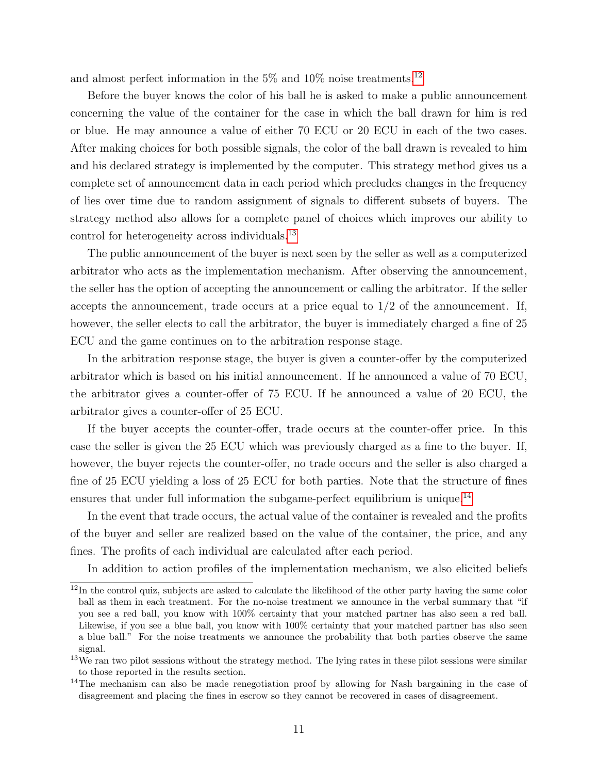and almost perfect information in the  $5\%$  and  $10\%$  noise treatments.<sup>[12](#page--1-0)</sup>

Before the buyer knows the color of his ball he is asked to make a public announcement concerning the value of the container for the case in which the ball drawn for him is red or blue. He may announce a value of either 70 ECU or 20 ECU in each of the two cases. After making choices for both possible signals, the color of the ball drawn is revealed to him and his declared strategy is implemented by the computer. This strategy method gives us a complete set of announcement data in each period which precludes changes in the frequency of lies over time due to random assignment of signals to different subsets of buyers. The strategy method also allows for a complete panel of choices which improves our ability to control for heterogeneity across individuals.[13](#page--1-0)

The public announcement of the buyer is next seen by the seller as well as a computerized arbitrator who acts as the implementation mechanism. After observing the announcement, the seller has the option of accepting the announcement or calling the arbitrator. If the seller accepts the announcement, trade occurs at a price equal to  $1/2$  of the announcement. If, however, the seller elects to call the arbitrator, the buyer is immediately charged a fine of 25 ECU and the game continues on to the arbitration response stage.

In the arbitration response stage, the buyer is given a counter-offer by the computerized arbitrator which is based on his initial announcement. If he announced a value of 70 ECU, the arbitrator gives a counter-offer of 75 ECU. If he announced a value of 20 ECU, the arbitrator gives a counter-offer of 25 ECU.

If the buyer accepts the counter-offer, trade occurs at the counter-offer price. In this case the seller is given the 25 ECU which was previously charged as a fine to the buyer. If, however, the buyer rejects the counter-offer, no trade occurs and the seller is also charged a fine of 25 ECU yielding a loss of 25 ECU for both parties. Note that the structure of fines ensures that under full information the subgame-perfect equilibrium is unique.<sup>[14](#page--1-0)</sup>

In the event that trade occurs, the actual value of the container is revealed and the profits of the buyer and seller are realized based on the value of the container, the price, and any fines. The profits of each individual are calculated after each period.

In addition to action profiles of the implementation mechanism, we also elicited beliefs

 $12$ In the control quiz, subjects are asked to calculate the likelihood of the other party having the same color ball as them in each treatment. For the no-noise treatment we announce in the verbal summary that "if you see a red ball, you know with 100% certainty that your matched partner has also seen a red ball. Likewise, if you see a blue ball, you know with  $100\%$  certainty that your matched partner has also seen a blue ball." For the noise treatments we announce the probability that both parties observe the same signal.

<sup>&</sup>lt;sup>13</sup>We ran two pilot sessions without the strategy method. The lying rates in these pilot sessions were similar to those reported in the results section.

<sup>&</sup>lt;sup>14</sup>The mechanism can also be made renegotiation proof by allowing for Nash bargaining in the case of disagreement and placing the fines in escrow so they cannot be recovered in cases of disagreement.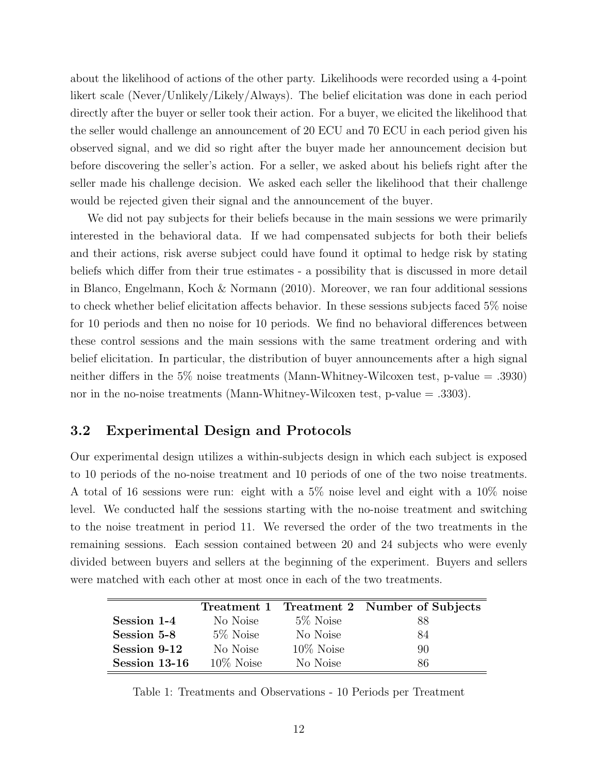about the likelihood of actions of the other party. Likelihoods were recorded using a 4-point likert scale (Never/Unlikely/Likely/Always). The belief elicitation was done in each period directly after the buyer or seller took their action. For a buyer, we elicited the likelihood that the seller would challenge an announcement of 20 ECU and 70 ECU in each period given his observed signal, and we did so right after the buyer made her announcement decision but before discovering the seller's action. For a seller, we asked about his beliefs right after the seller made his challenge decision. We asked each seller the likelihood that their challenge would be rejected given their signal and the announcement of the buyer.

We did not pay subjects for their beliefs because in the main sessions we were primarily interested in the behavioral data. If we had compensated subjects for both their beliefs and their actions, risk averse subject could have found it optimal to hedge risk by stating beliefs which differ from their true estimates - a possibility that is discussed in more detail in Blanco, Engelmann, Koch & Normann (2010). Moreover, we ran four additional sessions to check whether belief elicitation affects behavior. In these sessions subjects faced 5% noise for 10 periods and then no noise for 10 periods. We find no behavioral differences between these control sessions and the main sessions with the same treatment ordering and with belief elicitation. In particular, the distribution of buyer announcements after a high signal neither differs in the 5% noise treatments (Mann-Whitney-Wilcoxen test, p-value = .3930) nor in the no-noise treatments (Mann-Whitney-Wilcoxen test, p-value = .3303).

#### 3.2 Experimental Design and Protocols

Our experimental design utilizes a within-subjects design in which each subject is exposed to 10 periods of the no-noise treatment and 10 periods of one of the two noise treatments. A total of 16 sessions were run: eight with a 5% noise level and eight with a 10% noise level. We conducted half the sessions starting with the no-noise treatment and switching to the noise treatment in period 11. We reversed the order of the two treatments in the remaining sessions. Each session contained between 20 and 24 subjects who were evenly divided between buyers and sellers at the beginning of the experiment. Buyers and sellers were matched with each other at most once in each of the two treatments.

|               |              |              | Treatment 1 Treatment 2 Number of Subjects |
|---------------|--------------|--------------|--------------------------------------------|
| Session 1-4   | No Noise     | $5\%$ Noise  | 88                                         |
| Session 5-8   | $5\%$ Noise  | No Noise     | 84                                         |
| Session 9-12  | No Noise     | $10\%$ Noise | 90                                         |
| Session 13-16 | $10\%$ Noise | No Noise     | 86                                         |

Table 1: Treatments and Observations - 10 Periods per Treatment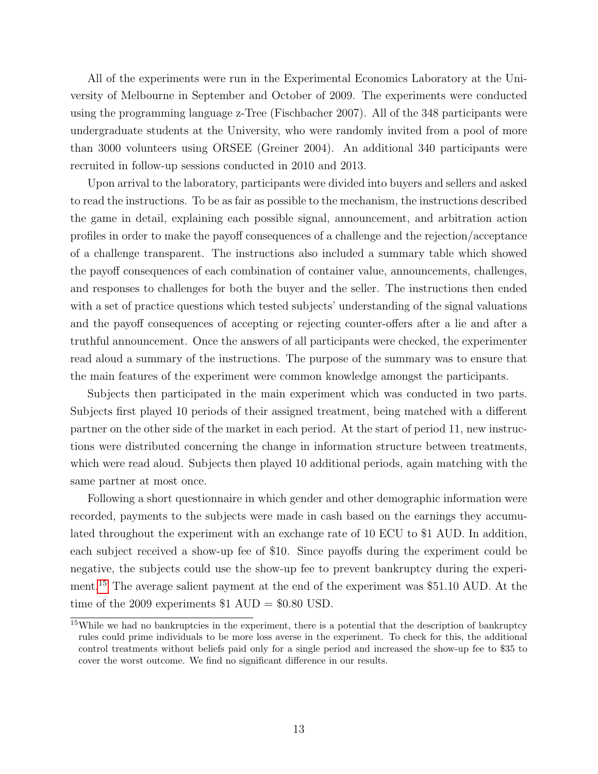All of the experiments were run in the Experimental Economics Laboratory at the University of Melbourne in September and October of 2009. The experiments were conducted using the programming language z-Tree (Fischbacher 2007). All of the 348 participants were undergraduate students at the University, who were randomly invited from a pool of more than 3000 volunteers using ORSEE (Greiner 2004). An additional 340 participants were recruited in follow-up sessions conducted in 2010 and 2013.

Upon arrival to the laboratory, participants were divided into buyers and sellers and asked to read the instructions. To be as fair as possible to the mechanism, the instructions described the game in detail, explaining each possible signal, announcement, and arbitration action profiles in order to make the payoff consequences of a challenge and the rejection/acceptance of a challenge transparent. The instructions also included a summary table which showed the payoff consequences of each combination of container value, announcements, challenges, and responses to challenges for both the buyer and the seller. The instructions then ended with a set of practice questions which tested subjects' understanding of the signal valuations and the payoff consequences of accepting or rejecting counter-offers after a lie and after a truthful announcement. Once the answers of all participants were checked, the experimenter read aloud a summary of the instructions. The purpose of the summary was to ensure that the main features of the experiment were common knowledge amongst the participants.

Subjects then participated in the main experiment which was conducted in two parts. Subjects first played 10 periods of their assigned treatment, being matched with a different partner on the other side of the market in each period. At the start of period 11, new instructions were distributed concerning the change in information structure between treatments, which were read aloud. Subjects then played 10 additional periods, again matching with the same partner at most once.

Following a short questionnaire in which gender and other demographic information were recorded, payments to the subjects were made in cash based on the earnings they accumulated throughout the experiment with an exchange rate of 10 ECU to \$1 AUD. In addition, each subject received a show-up fee of \$10. Since payoffs during the experiment could be negative, the subjects could use the show-up fee to prevent bankruptcy during the experiment.[15](#page--1-0) The average salient payment at the end of the experiment was \$51.10 AUD. At the time of the 2009 experiments  $$1 \text{ AUD} = $0.80 \text{ USD}$ .

<sup>&</sup>lt;sup>15</sup>While we had no bankruptcies in the experiment, there is a potential that the description of bankruptcy rules could prime individuals to be more loss averse in the experiment. To check for this, the additional control treatments without beliefs paid only for a single period and increased the show-up fee to \$35 to cover the worst outcome. We find no significant difference in our results.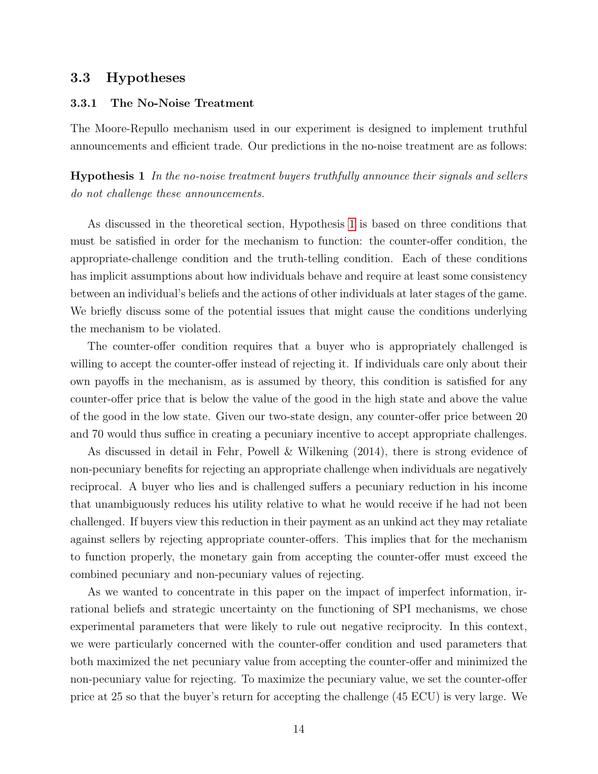#### 3.3 Hypotheses

#### 3.3.1 The No-Noise Treatment

The Moore-Repullo mechanism used in our experiment is designed to implement truthful announcements and efficient trade. Our predictions in the no-noise treatment are as follows:

<span id="page-15-0"></span>Hypothesis 1 In the no-noise treatment buyers truthfully announce their signals and sellers do not challenge these announcements.

As discussed in the theoretical section, Hypothesis [1](#page-15-0) is based on three conditions that must be satisfied in order for the mechanism to function: the counter-offer condition, the appropriate-challenge condition and the truth-telling condition. Each of these conditions has implicit assumptions about how individuals behave and require at least some consistency between an individual's beliefs and the actions of other individuals at later stages of the game. We briefly discuss some of the potential issues that might cause the conditions underlying the mechanism to be violated.

The counter-offer condition requires that a buyer who is appropriately challenged is willing to accept the counter-offer instead of rejecting it. If individuals care only about their own payoffs in the mechanism, as is assumed by theory, this condition is satisfied for any counter-offer price that is below the value of the good in the high state and above the value of the good in the low state. Given our two-state design, any counter-offer price between 20 and 70 would thus suffice in creating a pecuniary incentive to accept appropriate challenges.

As discussed in detail in Fehr, Powell & Wilkening (2014), there is strong evidence of non-pecuniary benefits for rejecting an appropriate challenge when individuals are negatively reciprocal. A buyer who lies and is challenged suffers a pecuniary reduction in his income that unambiguously reduces his utility relative to what he would receive if he had not been challenged. If buyers view this reduction in their payment as an unkind act they may retaliate against sellers by rejecting appropriate counter-offers. This implies that for the mechanism to function properly, the monetary gain from accepting the counter-offer must exceed the combined pecuniary and non-pecuniary values of rejecting.

As we wanted to concentrate in this paper on the impact of imperfect information, irrational beliefs and strategic uncertainty on the functioning of SPI mechanisms, we chose experimental parameters that were likely to rule out negative reciprocity. In this context, we were particularly concerned with the counter-offer condition and used parameters that both maximized the net pecuniary value from accepting the counter-offer and minimized the non-pecuniary value for rejecting. To maximize the pecuniary value, we set the counter-offer price at 25 so that the buyer's return for accepting the challenge (45 ECU) is very large. We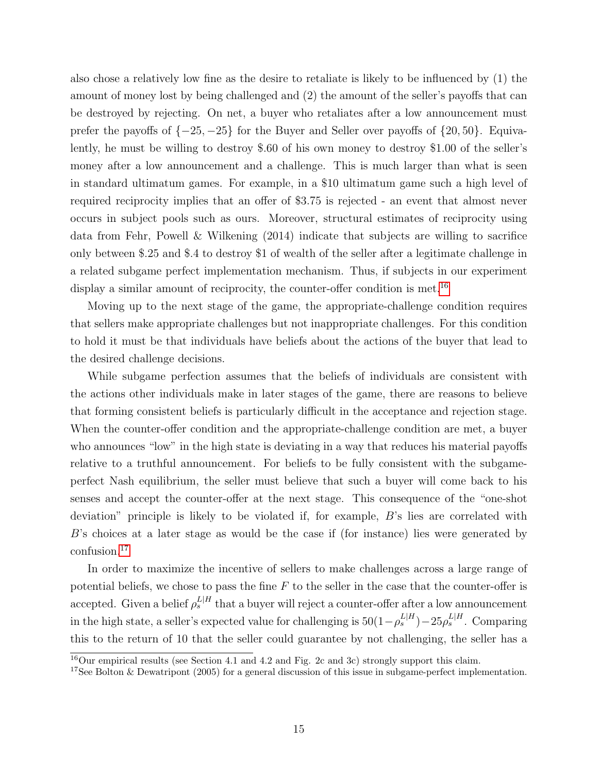also chose a relatively low fine as the desire to retaliate is likely to be influenced by (1) the amount of money lost by being challenged and (2) the amount of the seller's payoffs that can be destroyed by rejecting. On net, a buyer who retaliates after a low announcement must prefer the payoffs of  $\{-25, -25\}$  for the Buyer and Seller over payoffs of  $\{20, 50\}$ . Equivalently, he must be willing to destroy \$.60 of his own money to destroy \$1.00 of the seller's money after a low announcement and a challenge. This is much larger than what is seen in standard ultimatum games. For example, in a \$10 ultimatum game such a high level of required reciprocity implies that an offer of \$3.75 is rejected - an event that almost never occurs in subject pools such as ours. Moreover, structural estimates of reciprocity using data from Fehr, Powell & Wilkening (2014) indicate that subjects are willing to sacrifice only between \$.25 and \$.4 to destroy \$1 of wealth of the seller after a legitimate challenge in a related subgame perfect implementation mechanism. Thus, if subjects in our experiment display a similar amount of reciprocity, the counter-offer condition is met.<sup>[16](#page--1-0)</sup>

Moving up to the next stage of the game, the appropriate-challenge condition requires that sellers make appropriate challenges but not inappropriate challenges. For this condition to hold it must be that individuals have beliefs about the actions of the buyer that lead to the desired challenge decisions.

While subgame perfection assumes that the beliefs of individuals are consistent with the actions other individuals make in later stages of the game, there are reasons to believe that forming consistent beliefs is particularly difficult in the acceptance and rejection stage. When the counter-offer condition and the appropriate-challenge condition are met, a buyer who announces "low" in the high state is deviating in a way that reduces his material payoffs relative to a truthful announcement. For beliefs to be fully consistent with the subgameperfect Nash equilibrium, the seller must believe that such a buyer will come back to his senses and accept the counter-offer at the next stage. This consequence of the "one-shot deviation" principle is likely to be violated if, for example, B's lies are correlated with B's choices at a later stage as would be the case if (for instance) lies were generated by confusion.[17](#page--1-0)

In order to maximize the incentive of sellers to make challenges across a large range of potential beliefs, we chose to pass the fine  $F$  to the seller in the case that the counter-offer is accepted. Given a belief  $\rho_s^{L|H}$  that a buyer will reject a counter-offer after a low announcement in the high state, a seller's expected value for challenging is  $50(1-\rho_s^{L|H})-25\rho_s^{L|H}$ . Comparing this to the return of 10 that the seller could guarantee by not challenging, the seller has a

<sup>&</sup>lt;sup>16</sup>Our empirical results (see Section 4.1 and 4.2 and Fig. 2c and 3c) strongly support this claim.

<sup>&</sup>lt;sup>17</sup>See Bolton & Dewatripont (2005) for a general discussion of this issue in subgame-perfect implementation.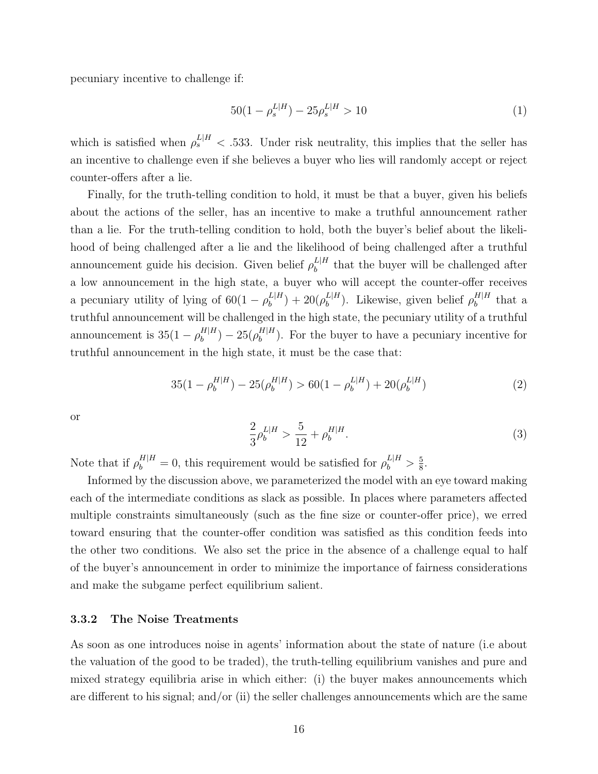pecuniary incentive to challenge if:

$$
50(1 - \rho_s^{L|H}) - 25\rho_s^{L|H} > 10\tag{1}
$$

which is satisfied when  $\rho_s^{L|H} < .533$ . Under risk neutrality, this implies that the seller has an incentive to challenge even if she believes a buyer who lies will randomly accept or reject counter-offers after a lie.

Finally, for the truth-telling condition to hold, it must be that a buyer, given his beliefs about the actions of the seller, has an incentive to make a truthful announcement rather than a lie. For the truth-telling condition to hold, both the buyer's belief about the likelihood of being challenged after a lie and the likelihood of being challenged after a truthful announcement guide his decision. Given belief  $\rho_b^{L|H}$  $b_i^{L|H}$  that the buyer will be challenged after a low announcement in the high state, a buyer who will accept the counter-offer receives a pecuniary utility of lying of  $60(1 - \rho_h^{L|H})$  $\binom{L|H}{b} + 20(\rho_b^{L|H})$  $b^{L|H}_b$ ). Likewise, given belief  $\rho_b^{H|H}$  $b^H$  that a truthful announcement will be challenged in the high state, the pecuniary utility of a truthful announcement is  $35(1 - \rho_h^{H|H})$  $\binom{H|H}{b} - 25(\rho_b^{H|H})$  $b^{\mu|H}_{b}$ ). For the buyer to have a pecuniary incentive for truthful announcement in the high state, it must be the case that:

$$
35(1 - \rho_b^{H|H}) - 25(\rho_b^{H|H}) > 60(1 - \rho_b^{L|H}) + 20(\rho_b^{L|H})
$$
\n(2)

or

$$
\frac{2}{3}\rho_b^{L|H} > \frac{5}{12} + \rho_b^{H|H}.\tag{3}
$$

Note that if  $\rho_b^{H|H} = 0$ , this requirement would be satisfied for  $\rho_b^{L|H} > \frac{5}{8}$  $\frac{5}{8}$ .

Informed by the discussion above, we parameterized the model with an eye toward making each of the intermediate conditions as slack as possible. In places where parameters affected multiple constraints simultaneously (such as the fine size or counter-offer price), we erred toward ensuring that the counter-offer condition was satisfied as this condition feeds into the other two conditions. We also set the price in the absence of a challenge equal to half of the buyer's announcement in order to minimize the importance of fairness considerations and make the subgame perfect equilibrium salient.

#### 3.3.2 The Noise Treatments

As soon as one introduces noise in agents' information about the state of nature (i.e about the valuation of the good to be traded), the truth-telling equilibrium vanishes and pure and mixed strategy equilibria arise in which either: (i) the buyer makes announcements which are different to his signal; and/or (ii) the seller challenges announcements which are the same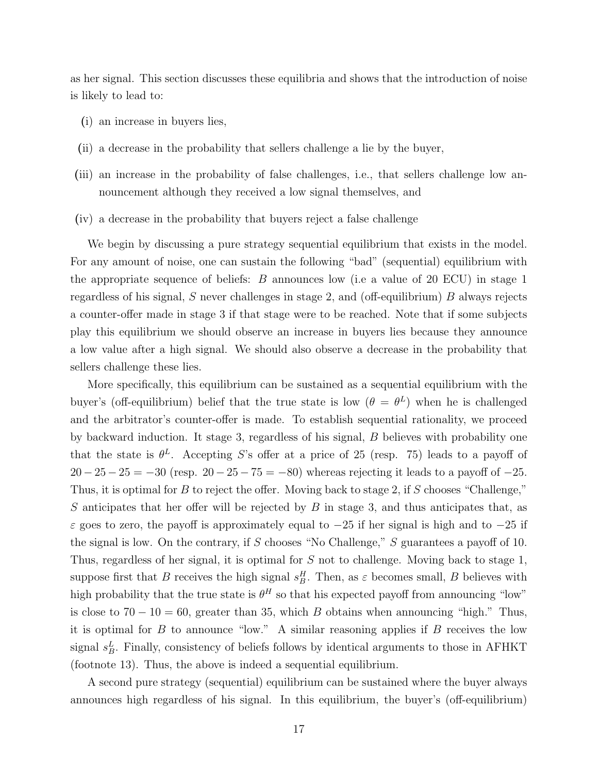as her signal. This section discusses these equilibria and shows that the introduction of noise is likely to lead to:

- (i) an increase in buyers lies,
- (ii) a decrease in the probability that sellers challenge a lie by the buyer,
- (iii) an increase in the probability of false challenges, i.e., that sellers challenge low announcement although they received a low signal themselves, and
- (iv) a decrease in the probability that buyers reject a false challenge

We begin by discussing a pure strategy sequential equilibrium that exists in the model. For any amount of noise, one can sustain the following "bad" (sequential) equilibrium with the appropriate sequence of beliefs: B announces low (i.e a value of 20 ECU) in stage 1 regardless of his signal,  $S$  never challenges in stage 2, and (off-equilibrium)  $B$  always rejects a counter-offer made in stage 3 if that stage were to be reached. Note that if some subjects play this equilibrium we should observe an increase in buyers lies because they announce a low value after a high signal. We should also observe a decrease in the probability that sellers challenge these lies.

More specifically, this equilibrium can be sustained as a sequential equilibrium with the buyer's (off-equilibrium) belief that the true state is low  $(\theta = \theta^L)$  when he is challenged and the arbitrator's counter-offer is made. To establish sequential rationality, we proceed by backward induction. It stage 3, regardless of his signal, B believes with probability one that the state is  $\theta^L$ . Accepting S's offer at a price of 25 (resp. 75) leads to a payoff of  $20 - 25 - 25 = -30$  (resp.  $20 - 25 - 75 = -80$ ) whereas rejecting it leads to a payoff of  $-25$ . Thus, it is optimal for B to reject the offer. Moving back to stage 2, if S chooses "Challenge," S anticipates that her offer will be rejected by B in stage 3, and thus anticipates that, as  $\varepsilon$  goes to zero, the payoff is approximately equal to  $-25$  if her signal is high and to  $-25$  if the signal is low. On the contrary, if S chooses "No Challenge," S guarantees a payoff of 10. Thus, regardless of her signal, it is optimal for S not to challenge. Moving back to stage 1, suppose first that B receives the high signal  $s_B^H$ . Then, as  $\varepsilon$  becomes small, B believes with high probability that the true state is  $\theta^H$  so that his expected payoff from announcing "low" is close to  $70 - 10 = 60$ , greater than 35, which B obtains when announcing "high." Thus, it is optimal for  $B$  to announce "low." A similar reasoning applies if  $B$  receives the low signal  $s_B^L$ . Finally, consistency of beliefs follows by identical arguments to those in AFHKT (footnote 13). Thus, the above is indeed a sequential equilibrium.

A second pure strategy (sequential) equilibrium can be sustained where the buyer always announces high regardless of his signal. In this equilibrium, the buyer's (off-equilibrium)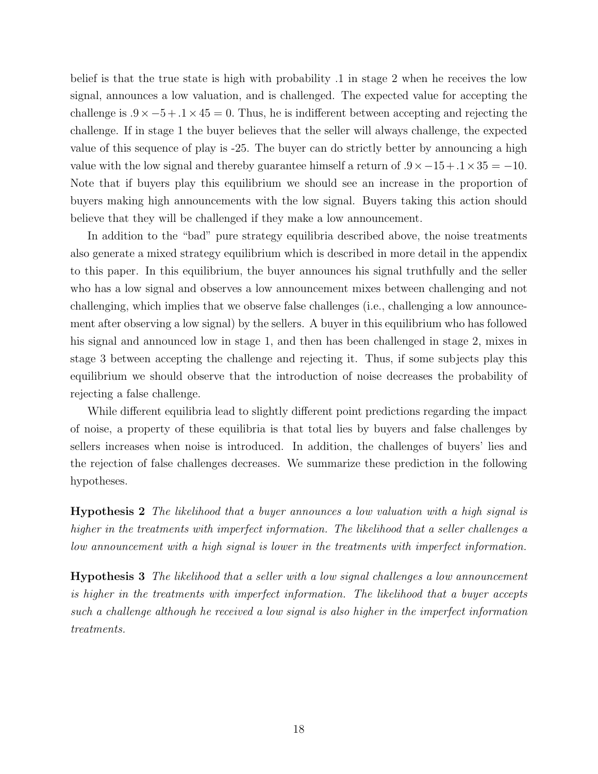belief is that the true state is high with probability .1 in stage 2 when he receives the low signal, announces a low valuation, and is challenged. The expected value for accepting the challenge is  $.9 \times -5 + .1 \times 45 = 0$ . Thus, he is indifferent between accepting and rejecting the challenge. If in stage 1 the buyer believes that the seller will always challenge, the expected value of this sequence of play is -25. The buyer can do strictly better by announcing a high value with the low signal and thereby guarantee himself a return of  $.9 \times -15 + .1 \times 35 = -10$ . Note that if buyers play this equilibrium we should see an increase in the proportion of buyers making high announcements with the low signal. Buyers taking this action should believe that they will be challenged if they make a low announcement.

In addition to the "bad" pure strategy equilibria described above, the noise treatments also generate a mixed strategy equilibrium which is described in more detail in the appendix to this paper. In this equilibrium, the buyer announces his signal truthfully and the seller who has a low signal and observes a low announcement mixes between challenging and not challenging, which implies that we observe false challenges (i.e., challenging a low announcement after observing a low signal) by the sellers. A buyer in this equilibrium who has followed his signal and announced low in stage 1, and then has been challenged in stage 2, mixes in stage 3 between accepting the challenge and rejecting it. Thus, if some subjects play this equilibrium we should observe that the introduction of noise decreases the probability of rejecting a false challenge.

While different equilibria lead to slightly different point predictions regarding the impact of noise, a property of these equilibria is that total lies by buyers and false challenges by sellers increases when noise is introduced. In addition, the challenges of buyers' lies and the rejection of false challenges decreases. We summarize these prediction in the following hypotheses.

<span id="page-19-0"></span>Hypothesis 2 The likelihood that a buyer announces a low valuation with a high signal is higher in the treatments with imperfect information. The likelihood that a seller challenges a low announcement with a high signal is lower in the treatments with imperfect information.

<span id="page-19-1"></span>Hypothesis 3 The likelihood that a seller with a low signal challenges a low announcement is higher in the treatments with imperfect information. The likelihood that a buyer accepts such a challenge although he received a low signal is also higher in the imperfect information treatments.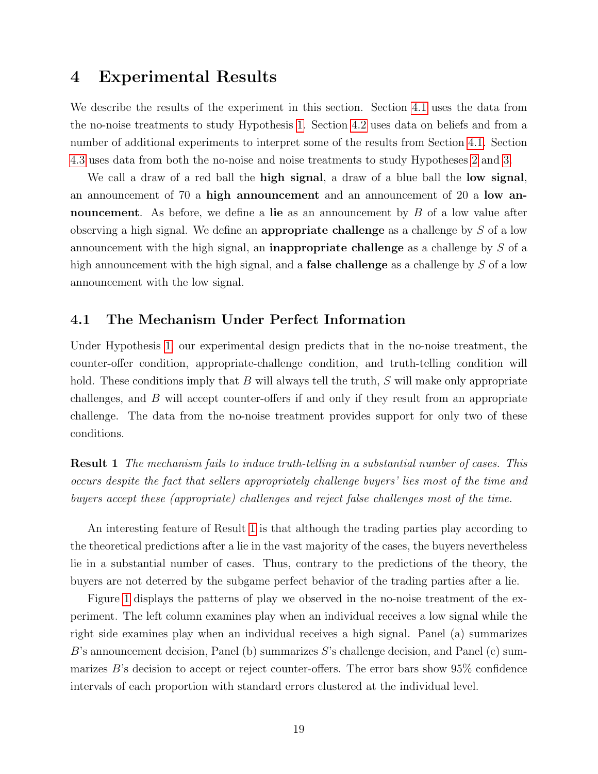### 4 Experimental Results

We describe the results of the experiment in this section. Section [4.1](#page-20-0) uses the data from the no-noise treatments to study Hypothesis [1.](#page-15-0) Section [4.2](#page-24-0) uses data on beliefs and from a number of additional experiments to interpret some of the results from Section [4.1.](#page-20-0) Section [4.3](#page-29-0) uses data from both the no-noise and noise treatments to study Hypotheses [2](#page-19-0) and [3.](#page-19-1)

We call a draw of a red ball the **high signal**, a draw of a blue ball the **low signal**, an announcement of 70 a high announcement and an announcement of 20 a low announcement. As before, we define a lie as an announcement by B of a low value after observing a high signal. We define an **appropriate challenge** as a challenge by  $S$  of a low announcement with the high signal, an **inappropriate challenge** as a challenge by  $S$  of a high announcement with the high signal, and a **false challenge** as a challenge by  $S$  of a low announcement with the low signal.

#### <span id="page-20-0"></span>4.1 The Mechanism Under Perfect Information

Under Hypothesis [1,](#page-15-0) our experimental design predicts that in the no-noise treatment, the counter-offer condition, appropriate-challenge condition, and truth-telling condition will hold. These conditions imply that  $B$  will always tell the truth,  $S$  will make only appropriate challenges, and B will accept counter-offers if and only if they result from an appropriate challenge. The data from the no-noise treatment provides support for only two of these conditions.

<span id="page-20-1"></span>Result 1 The mechanism fails to induce truth-telling in a substantial number of cases. This occurs despite the fact that sellers appropriately challenge buyers' lies most of the time and buyers accept these (appropriate) challenges and reject false challenges most of the time.

An interesting feature of Result [1](#page-20-1) is that although the trading parties play according to the theoretical predictions after a lie in the vast majority of the cases, the buyers nevertheless lie in a substantial number of cases. Thus, contrary to the predictions of the theory, the buyers are not deterred by the subgame perfect behavior of the trading parties after a lie.

Figure [1](#page-22-0) displays the patterns of play we observed in the no-noise treatment of the experiment. The left column examines play when an individual receives a low signal while the right side examines play when an individual receives a high signal. Panel (a) summarizes B's announcement decision, Panel (b) summarizes S's challenge decision, and Panel (c) summarizes  $B$ 's decision to accept or reject counter-offers. The error bars show  $95\%$  confidence intervals of each proportion with standard errors clustered at the individual level.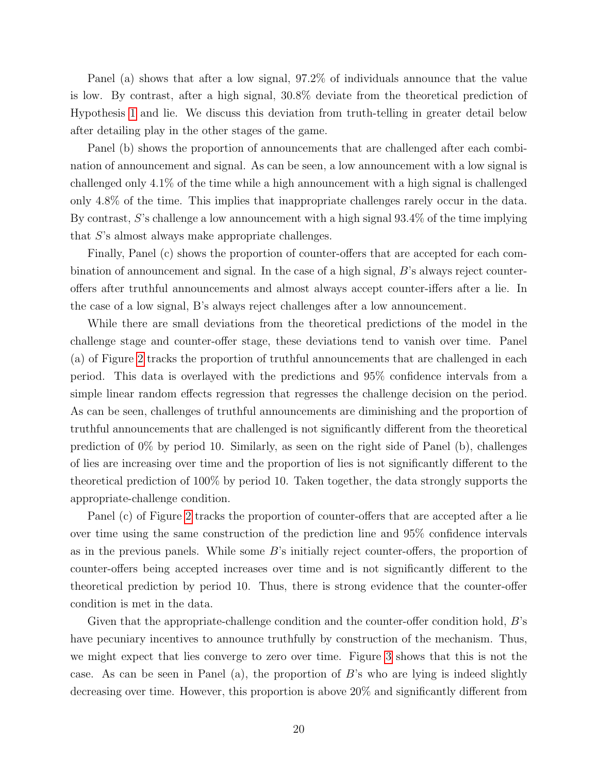Panel (a) shows that after a low signal, 97.2% of individuals announce that the value is low. By contrast, after a high signal, 30.8% deviate from the theoretical prediction of Hypothesis [1](#page-15-0) and lie. We discuss this deviation from truth-telling in greater detail below after detailing play in the other stages of the game.

Panel (b) shows the proportion of announcements that are challenged after each combination of announcement and signal. As can be seen, a low announcement with a low signal is challenged only 4.1% of the time while a high announcement with a high signal is challenged only 4.8% of the time. This implies that inappropriate challenges rarely occur in the data. By contrast, S's challenge a low announcement with a high signal 93.4% of the time implying that S's almost always make appropriate challenges.

Finally, Panel (c) shows the proportion of counter-offers that are accepted for each combination of announcement and signal. In the case of a high signal, B's always reject counteroffers after truthful announcements and almost always accept counter-iffers after a lie. In the case of a low signal, B's always reject challenges after a low announcement.

While there are small deviations from the theoretical predictions of the model in the challenge stage and counter-offer stage, these deviations tend to vanish over time. Panel (a) of Figure [2](#page-23-0) tracks the proportion of truthful announcements that are challenged in each period. This data is overlayed with the predictions and 95% confidence intervals from a simple linear random effects regression that regresses the challenge decision on the period. As can be seen, challenges of truthful announcements are diminishing and the proportion of truthful announcements that are challenged is not significantly different from the theoretical prediction of 0% by period 10. Similarly, as seen on the right side of Panel (b), challenges of lies are increasing over time and the proportion of lies is not significantly different to the theoretical prediction of 100% by period 10. Taken together, the data strongly supports the appropriate-challenge condition.

Panel (c) of Figure [2](#page-23-0) tracks the proportion of counter-offers that are accepted after a lie over time using the same construction of the prediction line and 95% confidence intervals as in the previous panels. While some B's initially reject counter-offers, the proportion of counter-offers being accepted increases over time and is not significantly different to the theoretical prediction by period 10. Thus, there is strong evidence that the counter-offer condition is met in the data.

Given that the appropriate-challenge condition and the counter-offer condition hold,  $B$ 's have pecuniary incentives to announce truthfully by construction of the mechanism. Thus, we might expect that lies converge to zero over time. Figure [3](#page-24-1) shows that this is not the case. As can be seen in Panel (a), the proportion of  $B$ 's who are lying is indeed slightly decreasing over time. However, this proportion is above 20% and significantly different from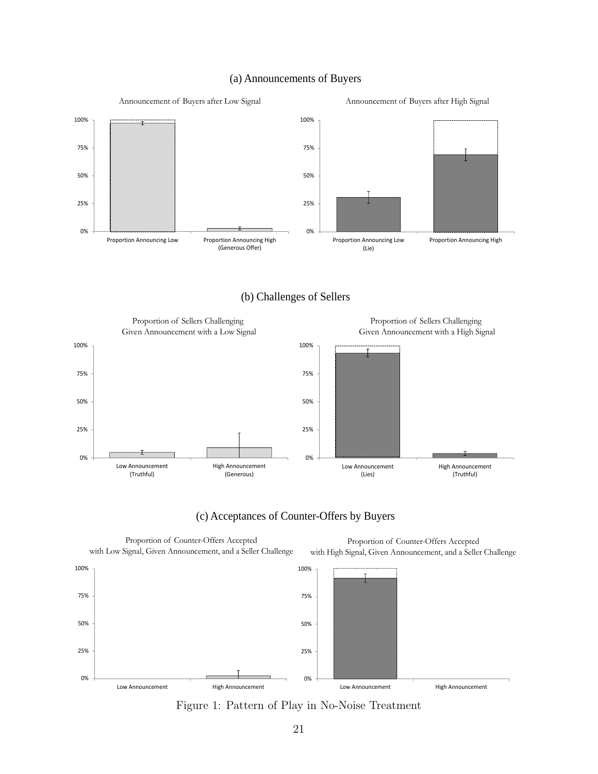#### (a) Announcements of Buyers

<span id="page-22-0"></span>









Figure 1: Pattern of Play in No-Noise Treatment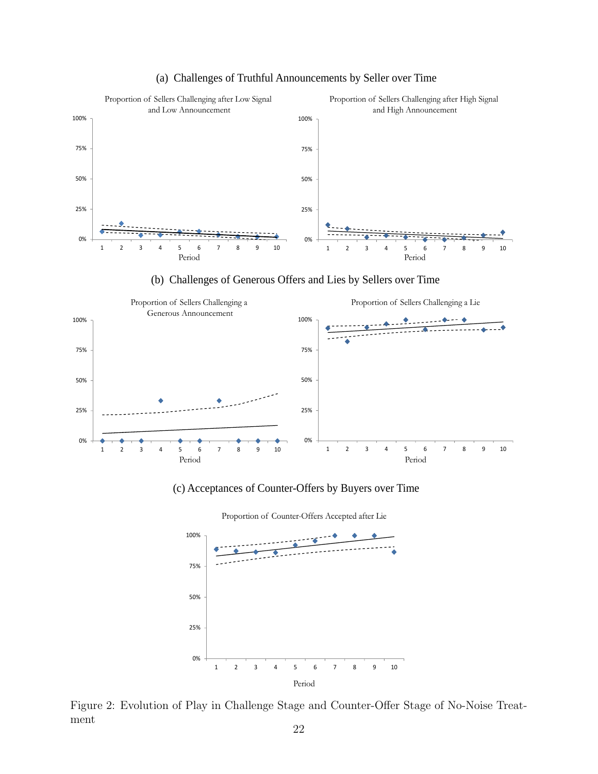<span id="page-23-0"></span>

#### (a) Challenges of Truthful Announcements by Seller over Time

(b) Challenges of Generous Offers and Lies by Sellers over Time







Proportion of Counter-Offers Accepted after Lie

Figure 2: Evolution of Play in Challenge Stage and Counter-Offer Stage of No-Noise Treatment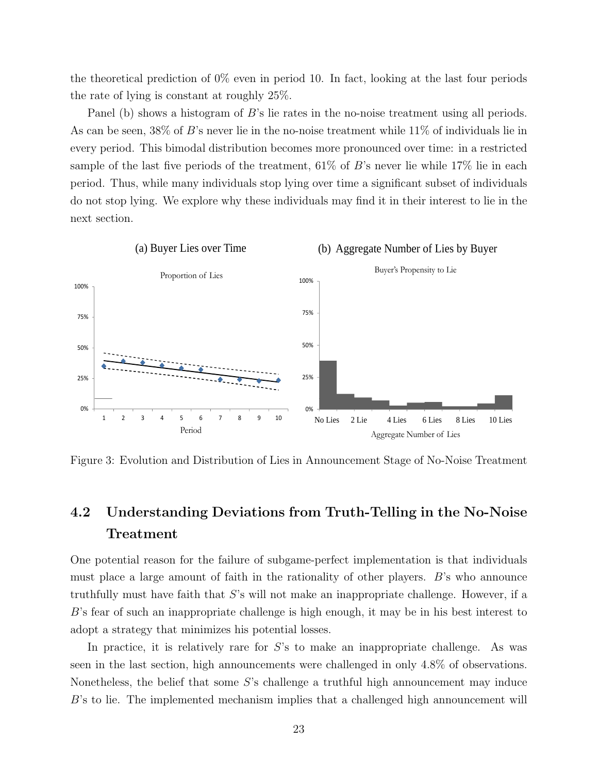the theoretical prediction of 0% even in period 10. In fact, looking at the last four periods the rate of lying is constant at roughly 25%.

Panel (b) shows a histogram of B's lie rates in the no-noise treatment using all periods. As can be seen, 38% of B's never lie in the no-noise treatment while 11% of individuals lie in every period. This bimodal distribution becomes more pronounced over time: in a restricted sample of the last five periods of the treatment,  $61\%$  of B's never lie while  $17\%$  lie in each period. Thus, while many individuals stop lying over time a significant subset of individuals do not stop lying. We explore why these individuals may find it in their interest to lie in the next section.

<span id="page-24-1"></span>

Figure 3: Evolution and Distribution of Lies in Announcement Stage of No-Noise Treatment

### <span id="page-24-0"></span>4.2 Understanding Deviations from Truth-Telling in the No-Noise Treatment

One potential reason for the failure of subgame-perfect implementation is that individuals must place a large amount of faith in the rationality of other players. B's who announce truthfully must have faith that S's will not make an inappropriate challenge. However, if a B's fear of such an inappropriate challenge is high enough, it may be in his best interest to adopt a strategy that minimizes his potential losses.

In practice, it is relatively rare for  $S$ 's to make an inappropriate challenge. As was seen in the last section, high announcements were challenged in only 4.8% of observations. Nonetheless, the belief that some S's challenge a truthful high announcement may induce B's to lie. The implemented mechanism implies that a challenged high announcement will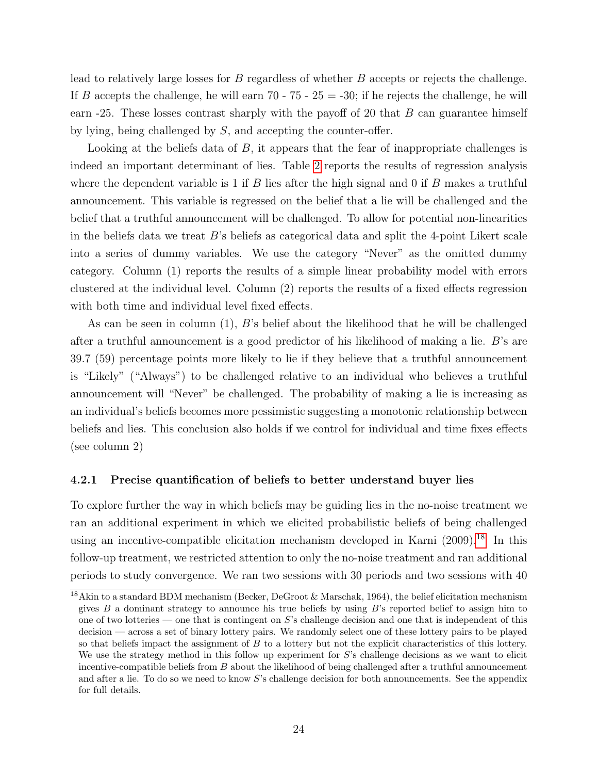lead to relatively large losses for B regardless of whether B accepts or rejects the challenge. If B accepts the challenge, he will earn 70 - 75 - 25 = -30; if he rejects the challenge, he will earn  $-25$ . These losses contrast sharply with the payoff of 20 that B can guarantee himself by lying, being challenged by S, and accepting the counter-offer.

Looking at the beliefs data of  $B$ , it appears that the fear of inappropriate challenges is indeed an important determinant of lies. Table [2](#page-26-0) reports the results of regression analysis where the dependent variable is 1 if B lies after the high signal and 0 if B makes a truthful announcement. This variable is regressed on the belief that a lie will be challenged and the belief that a truthful announcement will be challenged. To allow for potential non-linearities in the beliefs data we treat B's beliefs as categorical data and split the 4-point Likert scale into a series of dummy variables. We use the category "Never" as the omitted dummy category. Column (1) reports the results of a simple linear probability model with errors clustered at the individual level. Column (2) reports the results of a fixed effects regression with both time and individual level fixed effects.

As can be seen in column (1), B's belief about the likelihood that he will be challenged after a truthful announcement is a good predictor of his likelihood of making a lie. B's are 39.7 (59) percentage points more likely to lie if they believe that a truthful announcement is "Likely" ("Always") to be challenged relative to an individual who believes a truthful announcement will "Never" be challenged. The probability of making a lie is increasing as an individual's beliefs becomes more pessimistic suggesting a monotonic relationship between beliefs and lies. This conclusion also holds if we control for individual and time fixes effects (see column 2)

#### 4.2.1 Precise quantification of beliefs to better understand buyer lies

To explore further the way in which beliefs may be guiding lies in the no-noise treatment we ran an additional experiment in which we elicited probabilistic beliefs of being challenged using an incentive-compatible elicitation mechanism developed in Karni (2009).<sup>[18](#page--1-0)</sup> In this follow-up treatment, we restricted attention to only the no-noise treatment and ran additional periods to study convergence. We ran two sessions with 30 periods and two sessions with 40

<sup>18</sup>Akin to a standard BDM mechanism (Becker, DeGroot & Marschak, 1964), the belief elicitation mechanism gives  $B$  a dominant strategy to announce his true beliefs by using  $B$ 's reported belief to assign him to one of two lotteries — one that is contingent on  $S$ 's challenge decision and one that is independent of this decision — across a set of binary lottery pairs. We randomly select one of these lottery pairs to be played so that beliefs impact the assignment of  $B$  to a lottery but not the explicit characteristics of this lottery. We use the strategy method in this follow up experiment for  $S$ 's challenge decisions as we want to elicit incentive-compatible beliefs from  $B$  about the likelihood of being challenged after a truthful announcement and after a lie. To do so we need to know S's challenge decision for both announcements. See the appendix for full details.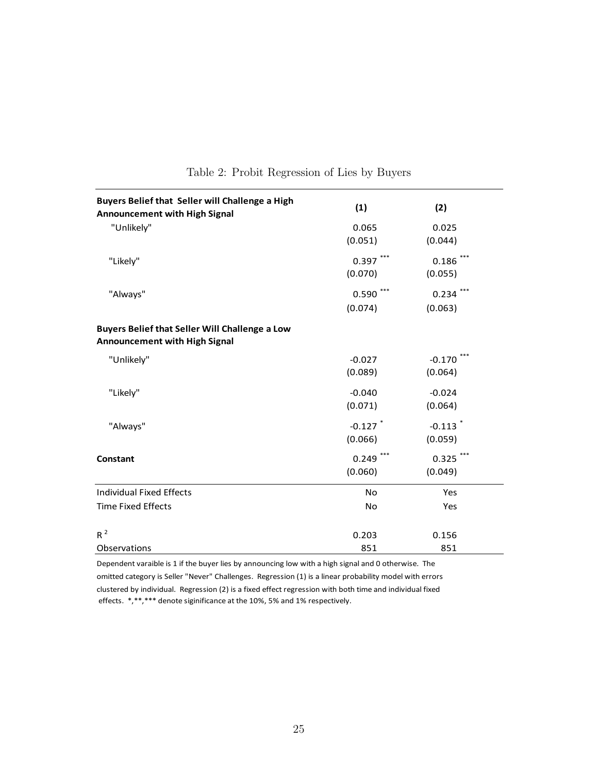<span id="page-26-0"></span>

| Buyers Belief that Seller will Challenge a High                                               | (1)         | (2)                   |  |
|-----------------------------------------------------------------------------------------------|-------------|-----------------------|--|
| <b>Announcement with High Signal</b>                                                          |             |                       |  |
| "Unlikely"                                                                                    | 0.065       | 0.025                 |  |
|                                                                                               | (0.051)     | (0.044)               |  |
| "Likely"                                                                                      | 0.397       | 0.186                 |  |
|                                                                                               | (0.070)     | (0.055)               |  |
| "Always"                                                                                      | 0.590       | $0.234$ ***           |  |
|                                                                                               | (0.074)     | (0.063)               |  |
| <b>Buyers Belief that Seller Will Challenge a Low</b><br><b>Announcement with High Signal</b> |             |                       |  |
| "Unlikely"                                                                                    | $-0.027$    | $-0.170$              |  |
|                                                                                               | (0.089)     | (0.064)               |  |
| "Likely"                                                                                      | $-0.040$    | $-0.024$              |  |
|                                                                                               | (0.071)     | (0.064)               |  |
| "Always"                                                                                      | $-0.127$    | $-0.113$ <sup>*</sup> |  |
|                                                                                               | (0.066)     | (0.059)               |  |
| <b>Constant</b>                                                                               | $0.249$ *** | $0.325$ ***           |  |
|                                                                                               | (0.060)     | (0.049)               |  |
| <b>Individual Fixed Effects</b>                                                               | <b>No</b>   | Yes                   |  |
| <b>Time Fixed Effects</b>                                                                     | No          | Yes                   |  |
| $R^2$                                                                                         |             |                       |  |
|                                                                                               | 0.203       | 0.156                 |  |
| Observations                                                                                  | 851         | 851                   |  |

#### Table 2: Probit Regression of Lies by Buyers

Dependent varaible is 1 if the buyer lies by announcing low with a high signal and 0 otherwise. The omitted category is Seller "Never" Challenges. Regression (1) is a linear probability model with errors clustered by individual. Regression (2) is a fixed effect regression with both time and individual fixed effects. \*,\*\*,\*\*\* denote siginificance at the 10%, 5% and 1% respectively.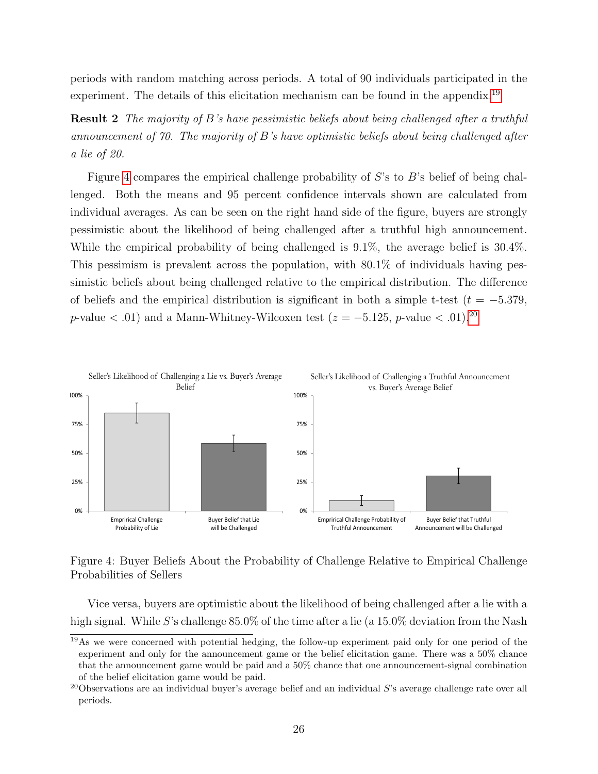periods with random matching across periods. A total of 90 individuals participated in the experiment. The details of this elicitation mechanism can be found in the appendix.<sup>[19](#page--1-0)</sup>

Result 2 The majority of B's have pessimistic beliefs about being challenged after a truthful announcement of 70. The majority of B's have optimistic beliefs about being challenged after a lie of 20.

Figure [4](#page-27-0) compares the empirical challenge probability of  $S$ 's to  $B$ 's belief of being challenged. Both the means and 95 percent confidence intervals shown are calculated from individual averages. As can be seen on the right hand side of the figure, buyers are strongly pessimistic about the likelihood of being challenged after a truthful high announcement. While the empirical probability of being challenged is 9.1%, the average belief is 30.4%. This pessimism is prevalent across the population, with 80.1% of individuals having pessimistic beliefs about being challenged relative to the empirical distribution. The difference of beliefs and the empirical distribution is significant in both a simple t-test ( $t = -5.379$ , p-value < .01) and a Mann-Whitney-Wilcoxen test ( $z = -5.125$ , p-value < .01).<sup>[20](#page--1-0)</sup>

<span id="page-27-0"></span>

Figure 4: Buyer Beliefs About the Probability of Challenge Relative to Empirical Challenge Probabilities of Sellers

Vice versa, buyers are optimistic about the likelihood of being challenged after a lie with a high signal. While S's challenge  $85.0\%$  of the time after a lie (a 15.0% deviation from the Nash

<sup>&</sup>lt;sup>19</sup>As we were concerned with potential hedging, the follow-up experiment paid only for one period of the experiment and only for the announcement game or the belief elicitation game. There was a 50% chance that the announcement game would be paid and a 50% chance that one announcement-signal combination of the belief elicitation game would be paid.

 $20$ Observations are an individual buyer's average belief and an individual S's average challenge rate over all periods.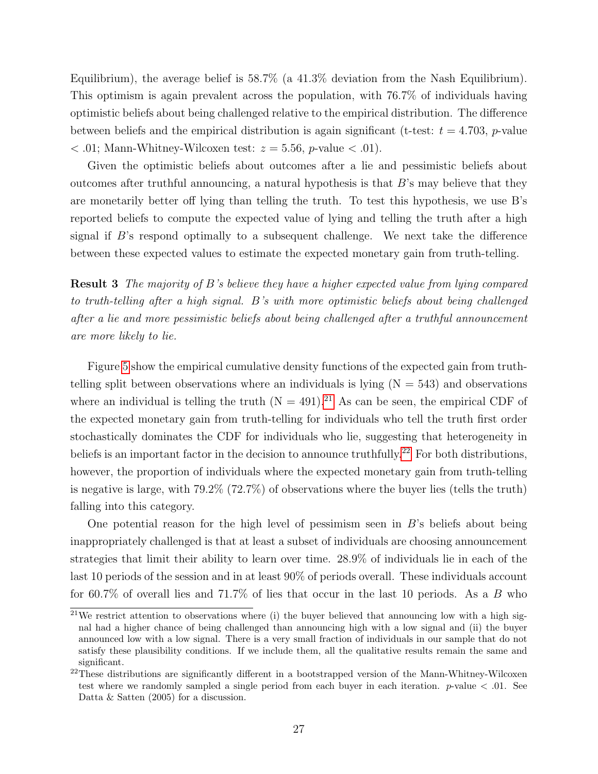Equilibrium), the average belief is 58.7% (a 41.3% deviation from the Nash Equilibrium). This optimism is again prevalent across the population, with 76.7% of individuals having optimistic beliefs about being challenged relative to the empirical distribution. The difference between beliefs and the empirical distribution is again significant (t-test:  $t = 4.703$ , p-value  $\langle 0.01; \text{Mann-Whitney-Wilcoxen test: } z = 5.56, p\text{-value} \langle 0.01 \rangle$ .

Given the optimistic beliefs about outcomes after a lie and pessimistic beliefs about outcomes after truthful announcing, a natural hypothesis is that  $B$ 's may believe that they are monetarily better off lying than telling the truth. To test this hypothesis, we use B's reported beliefs to compute the expected value of lying and telling the truth after a high signal if B's respond optimally to a subsequent challenge. We next take the difference between these expected values to estimate the expected monetary gain from truth-telling.

Result 3 The majority of B's believe they have a higher expected value from lying compared to truth-telling after a high signal. B's with more optimistic beliefs about being challenged after a lie and more pessimistic beliefs about being challenged after a truthful announcement are more likely to lie.

Figure [5](#page-29-1) show the empirical cumulative density functions of the expected gain from truthtelling split between observations where an individuals is lying  $(N = 543)$  and observations where an individual is telling the truth  $(N = 491)^{21}$  $(N = 491)^{21}$  $(N = 491)^{21}$  As can be seen, the empirical CDF of the expected monetary gain from truth-telling for individuals who tell the truth first order stochastically dominates the CDF for individuals who lie, suggesting that heterogeneity in beliefs is an important factor in the decision to announce truthfully.<sup>[22](#page--1-0)</sup> For both distributions, however, the proportion of individuals where the expected monetary gain from truth-telling is negative is large, with 79.2% (72.7%) of observations where the buyer lies (tells the truth) falling into this category.

One potential reason for the high level of pessimism seen in  $B$ 's beliefs about being inappropriately challenged is that at least a subset of individuals are choosing announcement strategies that limit their ability to learn over time. 28.9% of individuals lie in each of the last 10 periods of the session and in at least 90% of periods overall. These individuals account for 60.7% of overall lies and 71.7% of lies that occur in the last 10 periods. As a  $B$  who

<sup>&</sup>lt;sup>21</sup>We restrict attention to observations where (i) the buyer believed that announcing low with a high signal had a higher chance of being challenged than announcing high with a low signal and (ii) the buyer announced low with a low signal. There is a very small fraction of individuals in our sample that do not satisfy these plausibility conditions. If we include them, all the qualitative results remain the same and significant.

<sup>&</sup>lt;sup>22</sup>These distributions are significantly different in a bootstrapped version of the Mann-Whitney-Wilcoxen test where we randomly sampled a single period from each buyer in each iteration.  $p$ -value  $\lt$  0.01. See Datta & Satten (2005) for a discussion.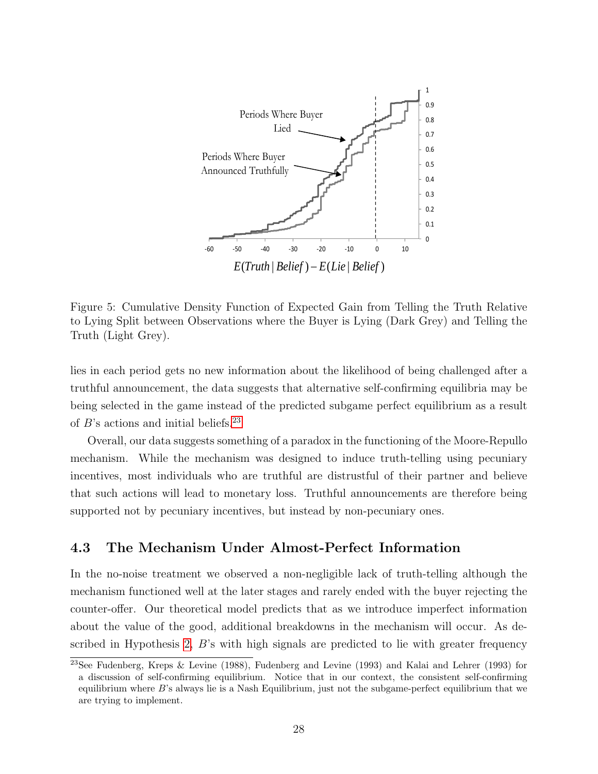<span id="page-29-1"></span>

Figure 5: Cumulative Density Function of Expected Gain from Telling the Truth Relative to Lying Split between Observations where the Buyer is Lying (Dark Grey) and Telling the Truth (Light Grey).

lies in each period gets no new information about the likelihood of being challenged after a truthful announcement, the data suggests that alternative self-confirming equilibria may be being selected in the game instead of the predicted subgame perfect equilibrium as a result of  $B$ 's actions and initial beliefs.<sup>[23](#page--1-0)</sup>

Overall, our data suggests something of a paradox in the functioning of the Moore-Repullo mechanism. While the mechanism was designed to induce truth-telling using pecuniary incentives, most individuals who are truthful are distrustful of their partner and believe that such actions will lead to monetary loss. Truthful announcements are therefore being supported not by pecuniary incentives, but instead by non-pecuniary ones.

#### <span id="page-29-0"></span>4.3 The Mechanism Under Almost-Perfect Information

In the no-noise treatment we observed a non-negligible lack of truth-telling although the mechanism functioned well at the later stages and rarely ended with the buyer rejecting the counter-offer. Our theoretical model predicts that as we introduce imperfect information about the value of the good, additional breakdowns in the mechanism will occur. As described in Hypothesis [2,](#page-19-0) B's with high signals are predicted to lie with greater frequency

<sup>23</sup>See Fudenberg, Kreps & Levine (1988), Fudenberg and Levine (1993) and Kalai and Lehrer (1993) for a discussion of self-confirming equilibrium. Notice that in our context, the consistent self-confirming equilibrium where  $B$ 's always lie is a Nash Equilibrium, just not the subgame-perfect equilibrium that we are trying to implement.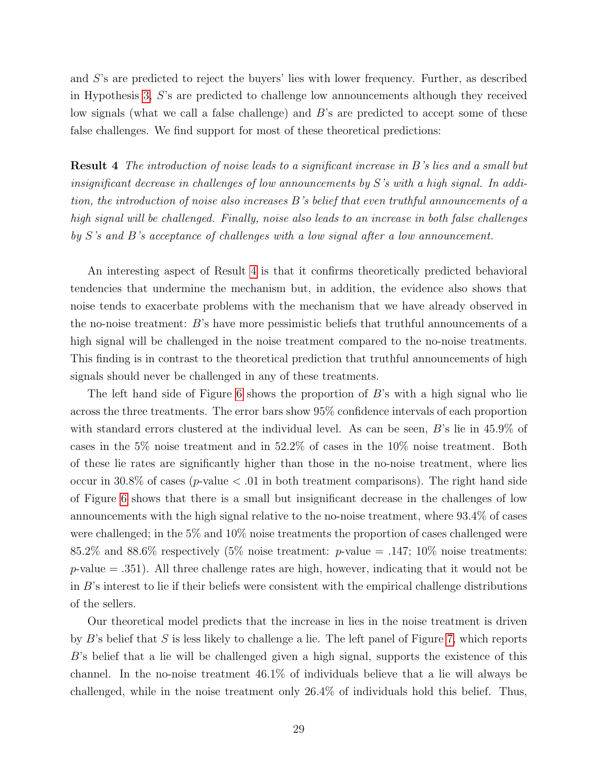and S's are predicted to reject the buyers' lies with lower frequency. Further, as described in Hypothesis [3,](#page-19-1) S's are predicted to challenge low announcements although they received low signals (what we call a false challenge) and B's are predicted to accept some of these false challenges. We find support for most of these theoretical predictions:

<span id="page-30-0"></span>Result 4 The introduction of noise leads to a significant increase in B's lies and a small but insignificant decrease in challenges of low announcements by  $S$ 's with a high signal. In addition, the introduction of noise also increases B's belief that even truthful announcements of a high signal will be challenged. Finally, noise also leads to an increase in both false challenges by S's and B's acceptance of challenges with a low signal after a low announcement.

An interesting aspect of Result [4](#page-30-0) is that it confirms theoretically predicted behavioral tendencies that undermine the mechanism but, in addition, the evidence also shows that noise tends to exacerbate problems with the mechanism that we have already observed in the no-noise treatment: B's have more pessimistic beliefs that truthful announcements of a high signal will be challenged in the noise treatment compared to the no-noise treatments. This finding is in contrast to the theoretical prediction that truthful announcements of high signals should never be challenged in any of these treatments.

The left hand side of Figure [6](#page-31-0) shows the proportion of  $B$ 's with a high signal who lie across the three treatments. The error bars show 95% confidence intervals of each proportion with standard errors clustered at the individual level. As can be seen, B's lie in 45.9% of cases in the 5% noise treatment and in 52.2% of cases in the 10% noise treatment. Both of these lie rates are significantly higher than those in the no-noise treatment, where lies occur in 30.8% of cases (*p*-value  $\lt$  0.01 in both treatment comparisons). The right hand side of Figure [6](#page-31-0) shows that there is a small but insignificant decrease in the challenges of low announcements with the high signal relative to the no-noise treatment, where 93.4% of cases were challenged; in the 5% and 10% noise treatments the proportion of cases challenged were 85.2% and 88.6% respectively (5% noise treatment:  $p$ -value = .147; 10% noise treatments:  $p$ -value  $=$  .351). All three challenge rates are high, however, indicating that it would not be in B's interest to lie if their beliefs were consistent with the empirical challenge distributions of the sellers.

Our theoretical model predicts that the increase in lies in the noise treatment is driven by  $B$ 's belief that  $S$  is less likely to challenge a lie. The left panel of Figure [7,](#page-32-0) which reports B's belief that a lie will be challenged given a high signal, supports the existence of this channel. In the no-noise treatment 46.1% of individuals believe that a lie will always be challenged, while in the noise treatment only 26.4% of individuals hold this belief. Thus,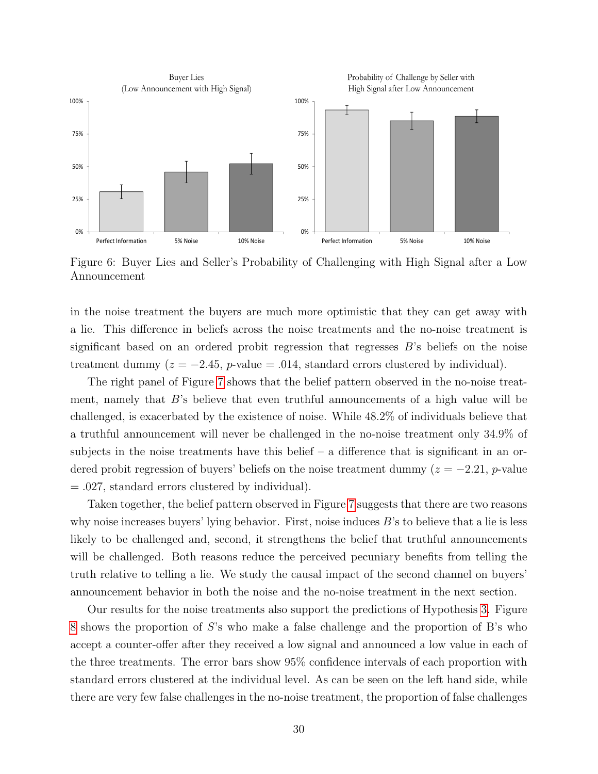<span id="page-31-0"></span>

Figure 6: Buyer Lies and Seller's Probability of Challenging with High Signal after a Low Announcement

in the noise treatment the buyers are much more optimistic that they can get away with a lie. This difference in beliefs across the noise treatments and the no-noise treatment is significant based on an ordered probit regression that regresses B's beliefs on the noise treatment dummy  $(z = -2.45, p-value = .014, standard errors clustered by individual).$ 

The right panel of Figure [7](#page-32-0) shows that the belief pattern observed in the no-noise treatment, namely that  $B$ 's believe that even truthful announcements of a high value will be challenged, is exacerbated by the existence of noise. While 48.2% of individuals believe that a truthful announcement will never be challenged in the no-noise treatment only 34.9% of subjects in the noise treatments have this belief  $-$  a difference that is significant in an ordered probit regression of buyers' beliefs on the noise treatment dummy ( $z = -2.21$ , p-value = .027, standard errors clustered by individual).

Taken together, the belief pattern observed in Figure [7](#page-32-0) suggests that there are two reasons why noise increases buyers' lying behavior. First, noise induces B's to believe that a lie is less likely to be challenged and, second, it strengthens the belief that truthful announcements will be challenged. Both reasons reduce the perceived pecuniary benefits from telling the truth relative to telling a lie. We study the causal impact of the second channel on buyers' announcement behavior in both the noise and the no-noise treatment in the next section.

Our results for the noise treatments also support the predictions of Hypothesis [3.](#page-19-1) Figure [8](#page-33-0) shows the proportion of S's who make a false challenge and the proportion of B's who accept a counter-offer after they received a low signal and announced a low value in each of the three treatments. The error bars show 95% confidence intervals of each proportion with standard errors clustered at the individual level. As can be seen on the left hand side, while there are very few false challenges in the no-noise treatment, the proportion of false challenges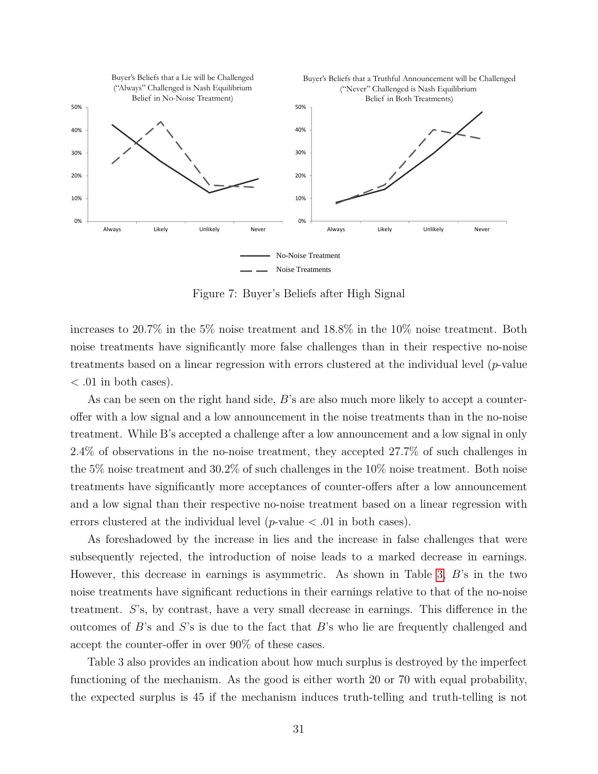<span id="page-32-0"></span>

Figure 7: Buyer's Beliefs after High Signal

increases to 20.7% in the 5% noise treatment and 18.8% in the 10% noise treatment. Both noise treatments have significantly more false challenges than in their respective no-noise treatments based on a linear regression with errors clustered at the individual level  $(p$ -value  $\langle$  .01 in both cases).

As can be seen on the right hand side,  $B$ 's are also much more likely to accept a counteroffer with a low signal and a low announcement in the noise treatments than in the no-noise treatment. While B's accepted a challenge after a low announcement and a low signal in only 2.4% of observations in the no-noise treatment, they accepted 27.7% of such challenges in the 5% noise treatment and 30.2% of such challenges in the 10% noise treatment. Both noise treatments have significantly more acceptances of counter-offers after a low announcement and a low signal than their respective no-noise treatment based on a linear regression with errors clustered at the individual level (*p*-value  $\lt$  0.01 in both cases).

As foreshadowed by the increase in lies and the increase in false challenges that were subsequently rejected, the introduction of noise leads to a marked decrease in earnings. However, this decrease in earnings is asymmetric. As shown in Table [3,](#page-33-1) B's in the two noise treatments have significant reductions in their earnings relative to that of the no-noise treatment. S's, by contrast, have a very small decrease in earnings. This difference in the outcomes of  $B$ 's and  $S$ 's is due to the fact that  $B$ 's who lie are frequently challenged and accept the counter-offer in over 90% of these cases.

Table 3 also provides an indication about how much surplus is destroyed by the imperfect functioning of the mechanism. As the good is either worth 20 or 70 with equal probability, the expected surplus is 45 if the mechanism induces truth-telling and truth-telling is not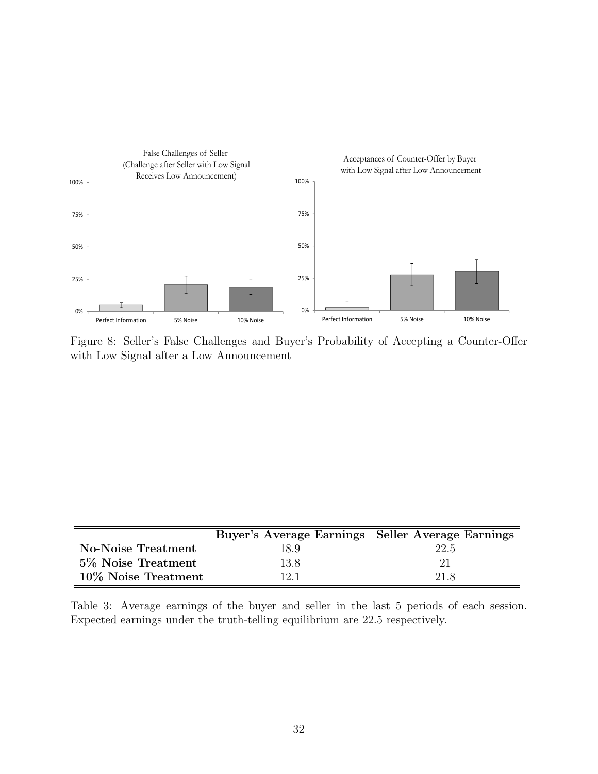<span id="page-33-0"></span>

Figure 8: Seller's False Challenges and Buyer's Probability of Accepting a Counter-Offer with Low Signal after a Low Announcement

<span id="page-33-1"></span>

|                      | Buyer's Average Earnings Seller Average Earnings |      |
|----------------------|--------------------------------------------------|------|
| No-Noise Treatment   | 18.9                                             | 22.5 |
| 5\% Noise Treatment  | 13.8                                             | 21   |
| 10\% Noise Treatment | 12.1                                             | 21.8 |

Table 3: Average earnings of the buyer and seller in the last 5 periods of each session. Expected earnings under the truth-telling equilibrium are 22.5 respectively.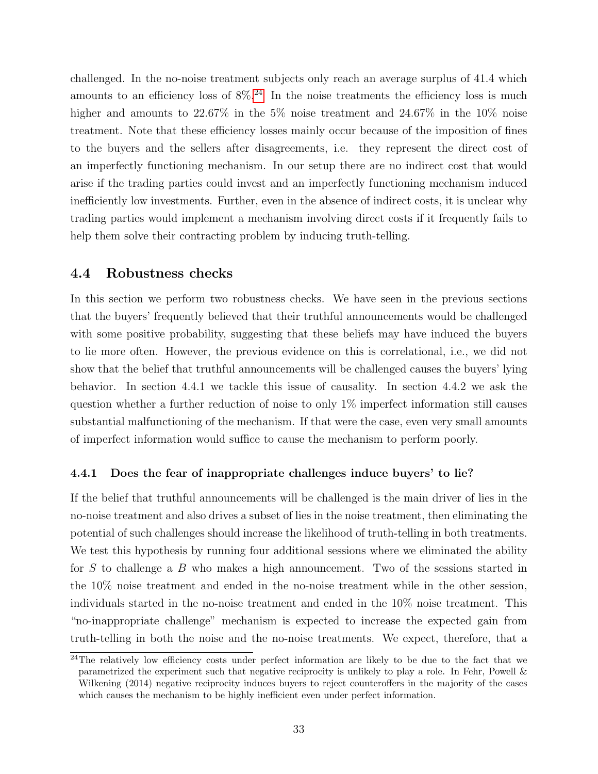challenged. In the no-noise treatment subjects only reach an average surplus of 41.4 which amounts to an efficiency loss of  $8\%$ .<sup>[24](#page--1-0)</sup> In the noise treatments the efficiency loss is much higher and amounts to  $22.67\%$  in the  $5\%$  noise treatment and  $24.67\%$  in the  $10\%$  noise treatment. Note that these efficiency losses mainly occur because of the imposition of fines to the buyers and the sellers after disagreements, i.e. they represent the direct cost of an imperfectly functioning mechanism. In our setup there are no indirect cost that would arise if the trading parties could invest and an imperfectly functioning mechanism induced inefficiently low investments. Further, even in the absence of indirect costs, it is unclear why trading parties would implement a mechanism involving direct costs if it frequently fails to help them solve their contracting problem by inducing truth-telling.

#### 4.4 Robustness checks

In this section we perform two robustness checks. We have seen in the previous sections that the buyers' frequently believed that their truthful announcements would be challenged with some positive probability, suggesting that these beliefs may have induced the buyers to lie more often. However, the previous evidence on this is correlational, i.e., we did not show that the belief that truthful announcements will be challenged causes the buyers' lying behavior. In section 4.4.1 we tackle this issue of causality. In section 4.4.2 we ask the question whether a further reduction of noise to only 1% imperfect information still causes substantial malfunctioning of the mechanism. If that were the case, even very small amounts of imperfect information would suffice to cause the mechanism to perform poorly.

#### 4.4.1 Does the fear of inappropriate challenges induce buyers' to lie?

If the belief that truthful announcements will be challenged is the main driver of lies in the no-noise treatment and also drives a subset of lies in the noise treatment, then eliminating the potential of such challenges should increase the likelihood of truth-telling in both treatments. We test this hypothesis by running four additional sessions where we eliminated the ability for S to challenge a B who makes a high announcement. Two of the sessions started in the 10% noise treatment and ended in the no-noise treatment while in the other session, individuals started in the no-noise treatment and ended in the 10% noise treatment. This "no-inappropriate challenge" mechanism is expected to increase the expected gain from truth-telling in both the noise and the no-noise treatments. We expect, therefore, that a

 $24$ The relatively low efficiency costs under perfect information are likely to be due to the fact that we parametrized the experiment such that negative reciprocity is unlikely to play a role. In Fehr, Powell & Wilkening (2014) negative reciprocity induces buyers to reject counteroffers in the majority of the cases which causes the mechanism to be highly inefficient even under perfect information.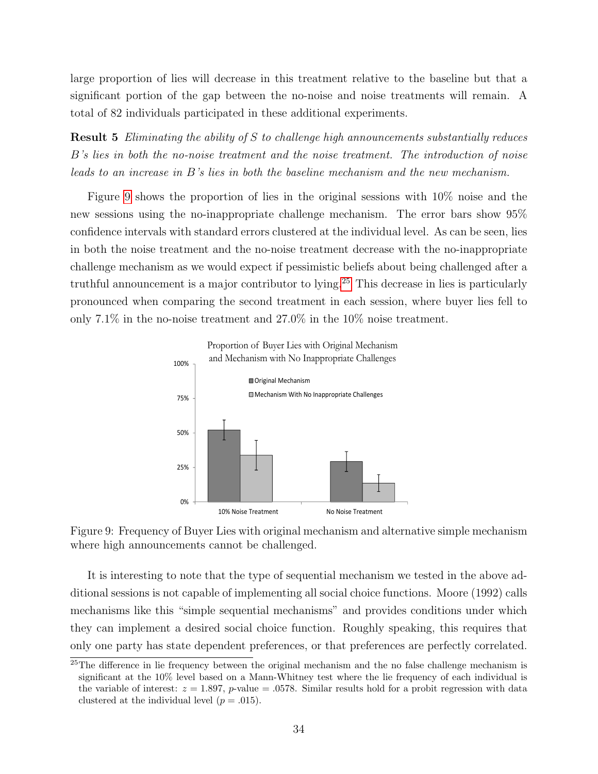large proportion of lies will decrease in this treatment relative to the baseline but that a significant portion of the gap between the no-noise and noise treatments will remain. A total of 82 individuals participated in these additional experiments.

Result 5 Eliminating the ability of S to challenge high announcements substantially reduces B's lies in both the no-noise treatment and the noise treatment. The introduction of noise leads to an increase in B's lies in both the baseline mechanism and the new mechanism.

Figure [9](#page-35-0) shows the proportion of lies in the original sessions with 10% noise and the new sessions using the no-inappropriate challenge mechanism. The error bars show 95% confidence intervals with standard errors clustered at the individual level. As can be seen, lies in both the noise treatment and the no-noise treatment decrease with the no-inappropriate challenge mechanism as we would expect if pessimistic beliefs about being challenged after a truthful announcement is a major contributor to lying.[25](#page--1-0) This decrease in lies is particularly pronounced when comparing the second treatment in each session, where buyer lies fell to only 7.1% in the no-noise treatment and 27.0% in the 10% noise treatment.

<span id="page-35-0"></span>

Figure 9: Frequency of Buyer Lies with original mechanism and alternative simple mechanism where high announcements cannot be challenged.

It is interesting to note that the type of sequential mechanism we tested in the above additional sessions is not capable of implementing all social choice functions. Moore (1992) calls mechanisms like this "simple sequential mechanisms" and provides conditions under which they can implement a desired social choice function. Roughly speaking, this requires that only one party has state dependent preferences, or that preferences are perfectly correlated.

 $25$ The difference in lie frequency between the original mechanism and the no false challenge mechanism is significant at the 10% level based on a Mann-Whitney test where the lie frequency of each individual is the variable of interest:  $z = 1.897$ , p-value = .0578. Similar results hold for a probit regression with data clustered at the individual level  $(p=.015)$ .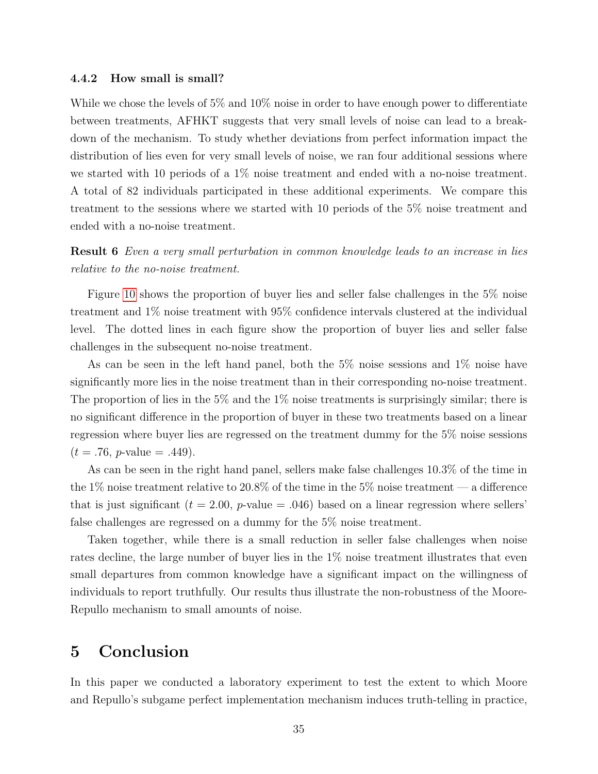#### 4.4.2 How small is small?

While we chose the levels of 5% and 10% noise in order to have enough power to differentiate between treatments, AFHKT suggests that very small levels of noise can lead to a breakdown of the mechanism. To study whether deviations from perfect information impact the distribution of lies even for very small levels of noise, we ran four additional sessions where we started with 10 periods of a 1% noise treatment and ended with a no-noise treatment. A total of 82 individuals participated in these additional experiments. We compare this treatment to the sessions where we started with 10 periods of the 5% noise treatment and ended with a no-noise treatment.

Result 6 Even a very small perturbation in common knowledge leads to an increase in lies relative to the no-noise treatment.

Figure [10](#page-37-0) shows the proportion of buyer lies and seller false challenges in the 5% noise treatment and 1% noise treatment with 95% confidence intervals clustered at the individual level. The dotted lines in each figure show the proportion of buyer lies and seller false challenges in the subsequent no-noise treatment.

As can be seen in the left hand panel, both the 5% noise sessions and 1% noise have significantly more lies in the noise treatment than in their corresponding no-noise treatment. The proportion of lies in the 5% and the 1% noise treatments is surprisingly similar; there is no significant difference in the proportion of buyer in these two treatments based on a linear regression where buyer lies are regressed on the treatment dummy for the 5% noise sessions  $(t = .76, p-value = .449).$ 

As can be seen in the right hand panel, sellers make false challenges 10.3% of the time in the 1% noise treatment relative to 20.8% of the time in the 5% noise treatment — a difference that is just significant ( $t = 2.00$ ,  $p$ -value = .046) based on a linear regression where sellers false challenges are regressed on a dummy for the 5% noise treatment.

Taken together, while there is a small reduction in seller false challenges when noise rates decline, the large number of buyer lies in the 1% noise treatment illustrates that even small departures from common knowledge have a significant impact on the willingness of individuals to report truthfully. Our results thus illustrate the non-robustness of the Moore-Repullo mechanism to small amounts of noise.

### 5 Conclusion

In this paper we conducted a laboratory experiment to test the extent to which Moore and Repullo's subgame perfect implementation mechanism induces truth-telling in practice,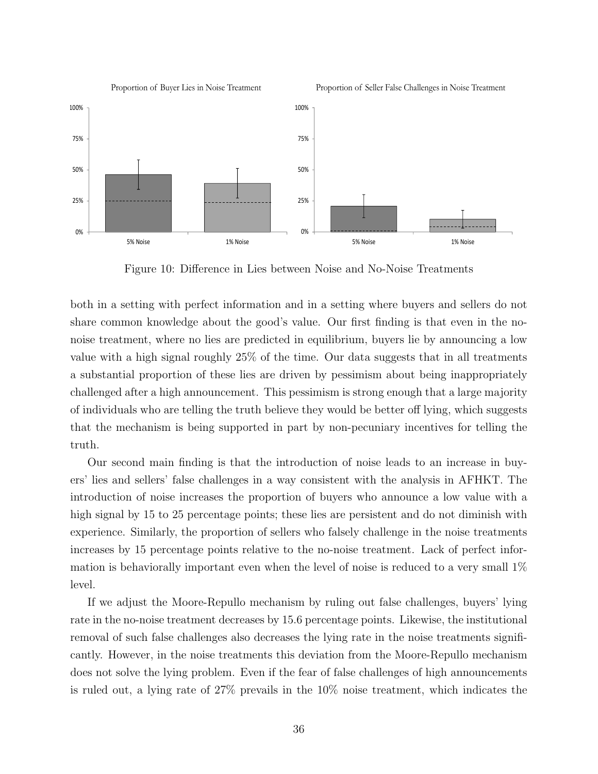<span id="page-37-0"></span>

Figure 10: Difference in Lies between Noise and No-Noise Treatments

both in a setting with perfect information and in a setting where buyers and sellers do not share common knowledge about the good's value. Our first finding is that even in the nonoise treatment, where no lies are predicted in equilibrium, buyers lie by announcing a low value with a high signal roughly 25% of the time. Our data suggests that in all treatments a substantial proportion of these lies are driven by pessimism about being inappropriately challenged after a high announcement. This pessimism is strong enough that a large majority of individuals who are telling the truth believe they would be better off lying, which suggests that the mechanism is being supported in part by non-pecuniary incentives for telling the truth.

Our second main finding is that the introduction of noise leads to an increase in buyers' lies and sellers' false challenges in a way consistent with the analysis in AFHKT. The introduction of noise increases the proportion of buyers who announce a low value with a high signal by 15 to 25 percentage points; these lies are persistent and do not diminish with experience. Similarly, the proportion of sellers who falsely challenge in the noise treatments increases by 15 percentage points relative to the no-noise treatment. Lack of perfect information is behaviorally important even when the level of noise is reduced to a very small 1% level.

If we adjust the Moore-Repullo mechanism by ruling out false challenges, buyers' lying rate in the no-noise treatment decreases by 15.6 percentage points. Likewise, the institutional removal of such false challenges also decreases the lying rate in the noise treatments significantly. However, in the noise treatments this deviation from the Moore-Repullo mechanism does not solve the lying problem. Even if the fear of false challenges of high announcements is ruled out, a lying rate of 27% prevails in the 10% noise treatment, which indicates the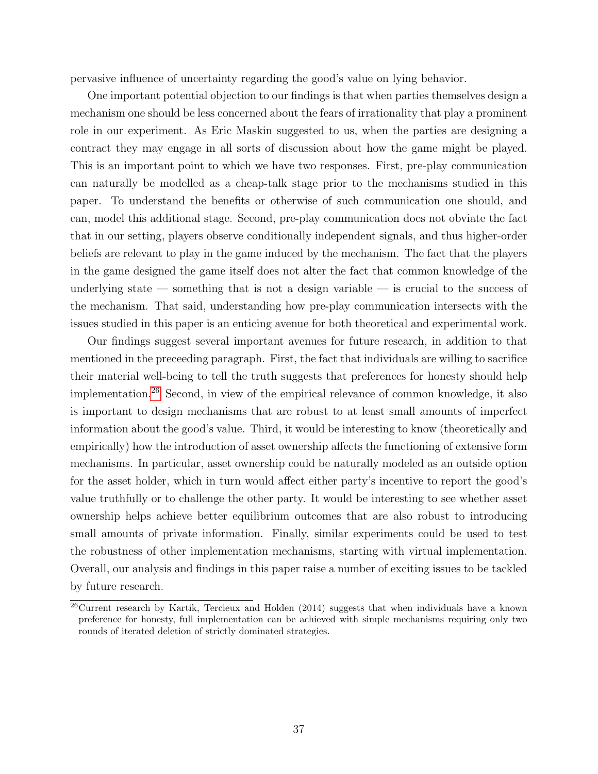pervasive influence of uncertainty regarding the good's value on lying behavior.

One important potential objection to our findings is that when parties themselves design a mechanism one should be less concerned about the fears of irrationality that play a prominent role in our experiment. As Eric Maskin suggested to us, when the parties are designing a contract they may engage in all sorts of discussion about how the game might be played. This is an important point to which we have two responses. First, pre-play communication can naturally be modelled as a cheap-talk stage prior to the mechanisms studied in this paper. To understand the benefits or otherwise of such communication one should, and can, model this additional stage. Second, pre-play communication does not obviate the fact that in our setting, players observe conditionally independent signals, and thus higher-order beliefs are relevant to play in the game induced by the mechanism. The fact that the players in the game designed the game itself does not alter the fact that common knowledge of the underlying state — something that is not a design variable — is crucial to the success of the mechanism. That said, understanding how pre-play communication intersects with the issues studied in this paper is an enticing avenue for both theoretical and experimental work.

Our findings suggest several important avenues for future research, in addition to that mentioned in the preceeding paragraph. First, the fact that individuals are willing to sacrifice their material well-being to tell the truth suggests that preferences for honesty should help implementation.[26](#page--1-0) Second, in view of the empirical relevance of common knowledge, it also is important to design mechanisms that are robust to at least small amounts of imperfect information about the good's value. Third, it would be interesting to know (theoretically and empirically) how the introduction of asset ownership affects the functioning of extensive form mechanisms. In particular, asset ownership could be naturally modeled as an outside option for the asset holder, which in turn would affect either party's incentive to report the good's value truthfully or to challenge the other party. It would be interesting to see whether asset ownership helps achieve better equilibrium outcomes that are also robust to introducing small amounts of private information. Finally, similar experiments could be used to test the robustness of other implementation mechanisms, starting with virtual implementation. Overall, our analysis and findings in this paper raise a number of exciting issues to be tackled by future research.

<sup>&</sup>lt;sup>26</sup>Current research by Kartik, Tercieux and Holden (2014) suggests that when individuals have a known preference for honesty, full implementation can be achieved with simple mechanisms requiring only two rounds of iterated deletion of strictly dominated strategies.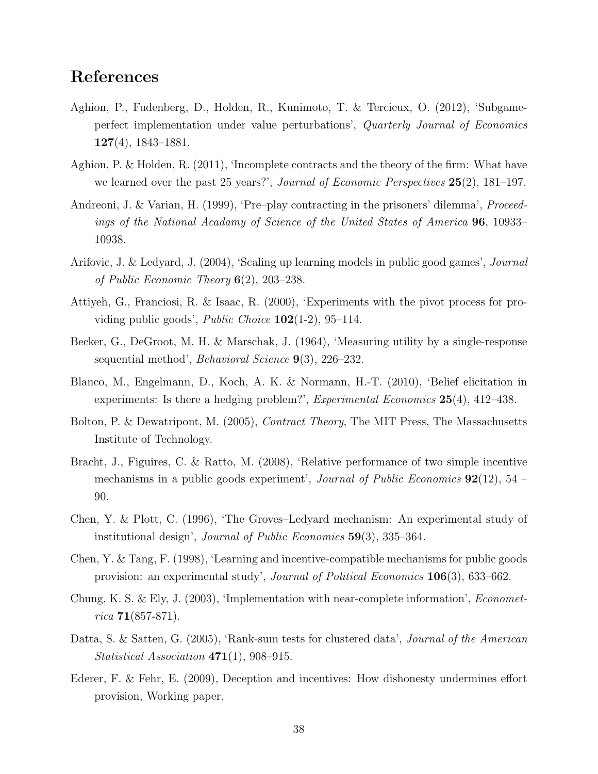### References

- Aghion, P., Fudenberg, D., Holden, R., Kunimoto, T. & Tercieux, O. (2012), 'Subgameperfect implementation under value perturbations', Quarterly Journal of Economics  $127(4)$ , 1843–1881.
- Aghion, P. & Holden, R. (2011), 'Incomplete contracts and the theory of the firm: What have we learned over the past 25 years?', *Journal of Economic Perspectives* 25(2), 181–197.
- Andreoni, J. & Varian, H. (1999), 'Pre–play contracting in the prisoners' dilemma', Proceedings of the National Acadamy of Science of the United States of America 96, 10933– 10938.
- Arifovic, J. & Ledyard, J. (2004), 'Scaling up learning models in public good games', Journal of Public Economic Theory  $6(2)$ , 203–238.
- Attiyeh, G., Franciosi, R. & Isaac, R. (2000), 'Experiments with the pivot process for providing public goods', *Public Choice*  $102(1-2)$ , 95–114.
- Becker, G., DeGroot, M. H. & Marschak, J. (1964), 'Measuring utility by a single-response sequential method', Behavioral Science 9(3), 226–232.
- Blanco, M., Engelmann, D., Koch, A. K. & Normann, H.-T. (2010), 'Belief elicitation in experiments: Is there a hedging problem?', *Experimental Economics* 25(4), 412-438.
- Bolton, P. & Dewatripont, M. (2005), Contract Theory, The MIT Press, The Massachusetts Institute of Technology.
- Bracht, J., Figuires, C. & Ratto, M. (2008), 'Relative performance of two simple incentive mechanisms in a public goods experiment', *Journal of Public Economics*  $92(12)$ , 54 – 90.
- Chen, Y. & Plott, C. (1996), 'The Groves–Ledyard mechanism: An experimental study of institutional design', Journal of Public Economics 59(3), 335–364.
- Chen, Y. & Tang, F. (1998), 'Learning and incentive-compatible mechanisms for public goods provision: an experimental study', Journal of Political Economics 106(3), 633–662.
- Chung, K. S. & Ely, J. (2003), 'Implementation with near-complete information', Economet $rica 71(857-871).$
- Datta, S. & Satten, G. (2005), 'Rank-sum tests for clustered data', *Journal of the American* Statistical Association 471(1), 908–915.
- Ederer, F. & Fehr, E. (2009), Deception and incentives: How dishonesty undermines effort provision, Working paper.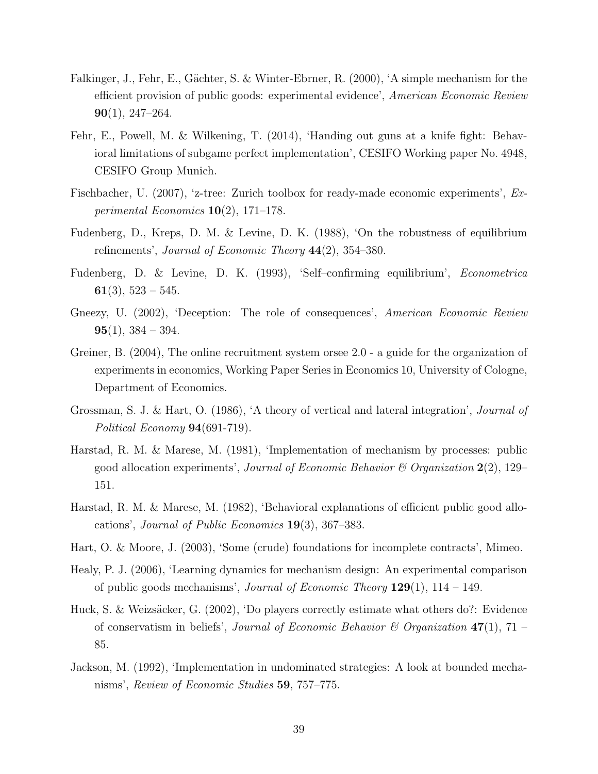- Falkinger, J., Fehr, E., Gächter, S. & Winter-Ebrner, R. (2000), 'A simple mechanism for the efficient provision of public goods: experimental evidence', American Economic Review  $90(1), 247-264.$
- Fehr, E., Powell, M. & Wilkening, T. (2014), 'Handing out guns at a knife fight: Behavioral limitations of subgame perfect implementation', CESIFO Working paper No. 4948, CESIFO Group Munich.
- Fischbacher, U. (2007), 'z-tree: Zurich toolbox for ready-made economic experiments', Experimental Economics  $10(2)$ , 171–178.
- Fudenberg, D., Kreps, D. M. & Levine, D. K. (1988), 'On the robustness of equilibrium refinements', Journal of Economic Theory  $44(2)$ , 354–380.
- Fudenberg, D. & Levine, D. K. (1993), 'Self–confirming equilibrium', Econometrica 61(3),  $523 - 545$ .
- Gneezy, U. (2002), 'Deception: The role of consequences', American Economic Review  $95(1), 384 - 394.$
- Greiner, B. (2004), The online recruitment system orsee 2.0 a guide for the organization of experiments in economics, Working Paper Series in Economics 10, University of Cologne, Department of Economics.
- Grossman, S. J. & Hart, O. (1986), 'A theory of vertical and lateral integration', Journal of Political Economy  $94(691-719)$ .
- Harstad, R. M. & Marese, M. (1981), 'Implementation of mechanism by processes: public good allocation experiments', Journal of Economic Behavior & Organization  $2(2)$ , 129– 151.
- Harstad, R. M. & Marese, M. (1982), 'Behavioral explanations of efficient public good allocations', Journal of Public Economics 19(3), 367–383.
- Hart, O. & Moore, J. (2003), 'Some (crude) foundations for incomplete contracts', Mimeo.
- Healy, P. J. (2006), 'Learning dynamics for mechanism design: An experimental comparison of public goods mechanisms', *Journal of Economic Theory*  $129(1)$ ,  $114 - 149$ .
- Huck, S. & Weizsäcker, G. (2002), 'Do players correctly estimate what others do?: Evidence of conservatism in beliefs', Journal of Economic Behavior & Organization 47(1), 71 – 85.
- Jackson, M. (1992), 'Implementation in undominated strategies: A look at bounded mechanisms', Review of Economic Studies 59, 757–775.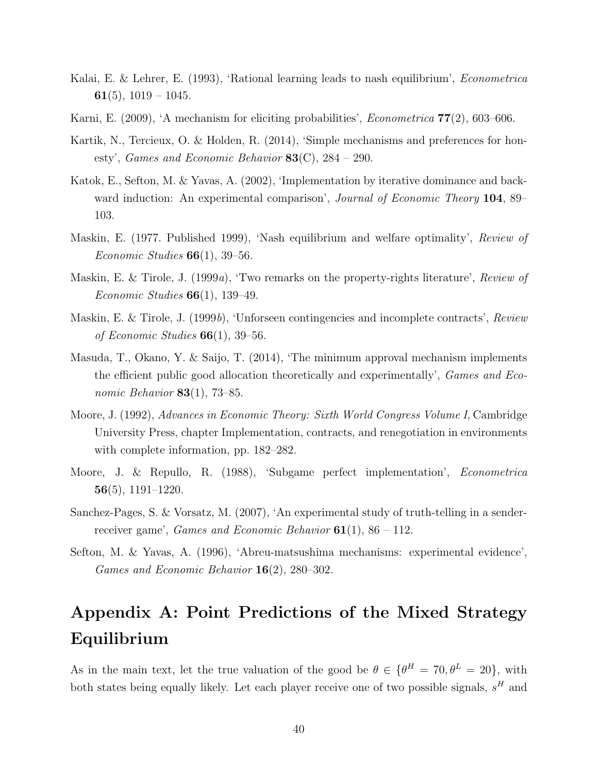- Kalai, E. & Lehrer, E. (1993), 'Rational learning leads to nash equilibrium', Econometrica 61(5),  $1019 - 1045$ .
- Karni, E. (2009), 'A mechanism for eliciting probabilities', Econometrica 77(2), 603–606.
- Kartik, N., Tercieux, O. & Holden, R. (2014), 'Simple mechanisms and preferences for honesty', *Games and Economic Behavior*  $83(\text{C})$ ,  $284 - 290$ .
- Katok, E., Sefton, M. & Yavas, A. (2002), 'Implementation by iterative dominance and backward induction: An experimental comparison', *Journal of Economic Theory* **104**, 89– 103.
- Maskin, E. (1977. Published 1999), 'Nash equilibrium and welfare optimality', Review of Economic Studies  $66(1)$ , 39–56.
- Maskin, E. & Tirole, J.  $(1999a)$ , 'Two remarks on the property-rights literature', Review of Economic Studies  $66(1)$ , 139-49.
- Maskin, E. & Tirole, J. (1999b), 'Unforseen contingencies and incomplete contracts', Review of Economic Studies  $66(1)$ , 39–56.
- Masuda, T., Okano, Y. & Saijo, T. (2014), 'The minimum approval mechanism implements the efficient public good allocation theoretically and experimentally', Games and Economic Behavior  $83(1)$ , 73–85.
- Moore, J. (1992), Advances in Economic Theory: Sixth World Congress Volume I, Cambridge University Press, chapter Implementation, contracts, and renegotiation in environments with complete information, pp. 182–282.
- Moore, J. & Repullo, R. (1988), 'Subgame perfect implementation', Econometrica 56(5), 1191–1220.
- Sanchez-Pages, S. & Vorsatz, M. (2007), 'An experimental study of truth-telling in a senderreceiver game', *Games and Economic Behavior*  $61(1)$ ,  $86 - 112$ .
- Sefton, M. & Yavas, A. (1996), 'Abreu-matsushima mechanisms: experimental evidence', Games and Economic Behavior 16(2), 280–302.

## Appendix A: Point Predictions of the Mixed Strategy Equilibrium

As in the main text, let the true valuation of the good be  $\theta \in {\theta^H = 70, \theta^L = 20}$ , with both states being equally likely. Let each player receive one of two possible signals,  $s<sup>H</sup>$  and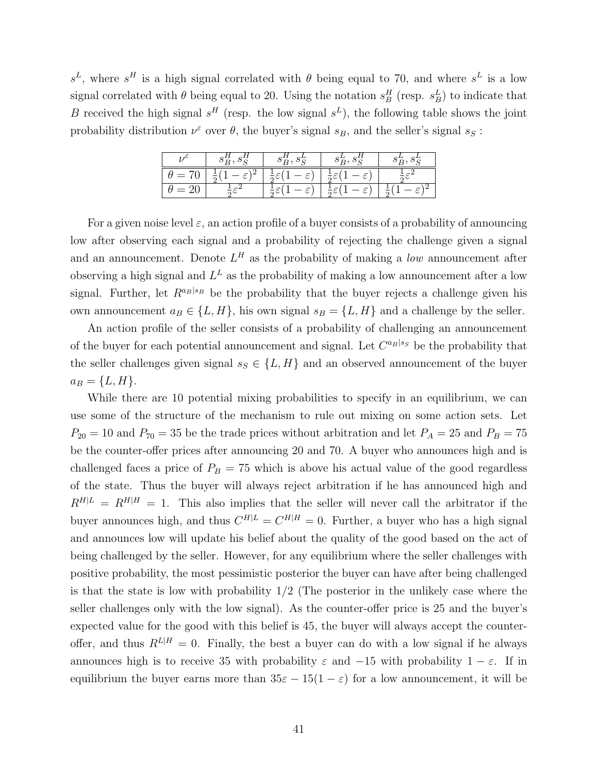$s^L$ , where  $s^H$  is a high signal correlated with  $\theta$  being equal to 70, and where  $s^L$  is a low signal correlated with  $\theta$  being equal to 20. Using the notation  $s_B^H$  (resp.  $s_B^L$ ) to indicate that B received the high signal  $s<sup>H</sup>$  (resp. the low signal  $s<sup>L</sup>$ ), the following table shows the joint probability distribution  $\nu^{\varepsilon}$  over  $\theta$ , the buyer's signal  $s_B$ , and the seller's signal  $s_S$ :

| $=$ $-$ | $\subset$ | $\sim$ | ∽ |  |
|---------|-----------|--------|---|--|
|         |           |        |   |  |

For a given noise level  $\varepsilon$ , an action profile of a buyer consists of a probability of announcing low after observing each signal and a probability of rejecting the challenge given a signal and an announcement. Denote  $L^H$  as the probability of making a *low* announcement after observing a high signal and  $L^L$  as the probability of making a low announcement after a low signal. Further, let  $R^{a}{}_{B}$  be the probability that the buyer rejects a challenge given his own announcement  $a_B \in \{L, H\}$ , his own signal  $s_B = \{L, H\}$  and a challenge by the seller.

An action profile of the seller consists of a probability of challenging an announcement of the buyer for each potential announcement and signal. Let  $C^{a_B|s_S}$  be the probability that the seller challenges given signal  $s_S \in \{L, H\}$  and an observed announcement of the buyer  $a_B = \{L, H\}.$ 

While there are 10 potential mixing probabilities to specify in an equilibrium, we can use some of the structure of the mechanism to rule out mixing on some action sets. Let  $P_{20} = 10$  and  $P_{70} = 35$  be the trade prices without arbitration and let  $P_A = 25$  and  $P_B = 75$ be the counter-offer prices after announcing 20 and 70. A buyer who announces high and is challenged faces a price of  $P_B = 75$  which is above his actual value of the good regardless of the state. Thus the buyer will always reject arbitration if he has announced high and  $R^{H|L} = R^{H|H} = 1$ . This also implies that the seller will never call the arbitrator if the buyer announces high, and thus  $C^{H|L} = C^{H|H} = 0$ . Further, a buyer who has a high signal and announces low will update his belief about the quality of the good based on the act of being challenged by the seller. However, for any equilibrium where the seller challenges with positive probability, the most pessimistic posterior the buyer can have after being challenged is that the state is low with probability  $1/2$  (The posterior in the unlikely case where the seller challenges only with the low signal). As the counter-offer price is 25 and the buyer's expected value for the good with this belief is 45, the buyer will always accept the counteroffer, and thus  $R^{L|H} = 0$ . Finally, the best a buyer can do with a low signal if he always announces high is to receive 35 with probability  $\varepsilon$  and  $-15$  with probability  $1 - \varepsilon$ . If in equilibrium the buyer earns more than  $35\varepsilon - 15(1 - \varepsilon)$  for a low announcement, it will be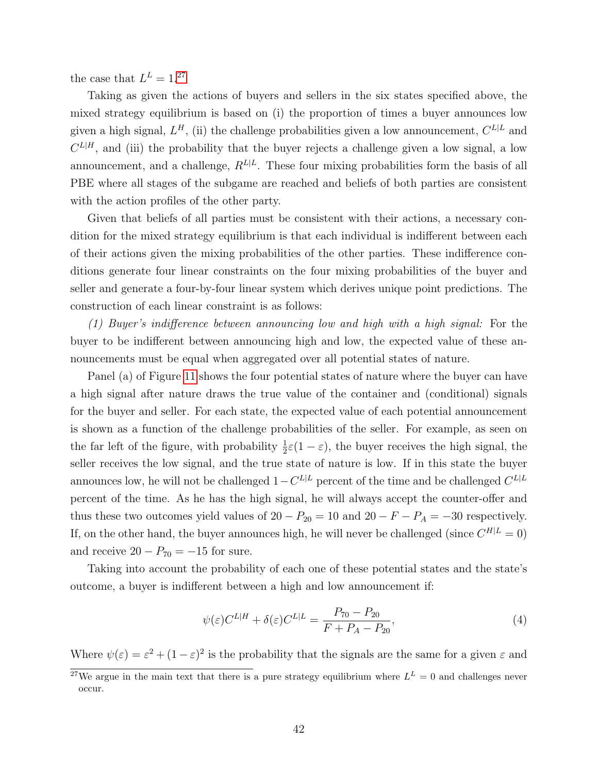the case that  $L^L = 1.^{27}$  $L^L = 1.^{27}$  $L^L = 1.^{27}$ 

Taking as given the actions of buyers and sellers in the six states specified above, the mixed strategy equilibrium is based on (i) the proportion of times a buyer announces low given a high signal,  $L^H$ , (ii) the challenge probabilities given a low announcement,  $C^{L|L}$  and  $C^{L|H}$ , and (iii) the probability that the buyer rejects a challenge given a low signal, a low announcement, and a challenge,  $R^{L|L}$ . These four mixing probabilities form the basis of all PBE where all stages of the subgame are reached and beliefs of both parties are consistent with the action profiles of the other party.

Given that beliefs of all parties must be consistent with their actions, a necessary condition for the mixed strategy equilibrium is that each individual is indifferent between each of their actions given the mixing probabilities of the other parties. These indifference conditions generate four linear constraints on the four mixing probabilities of the buyer and seller and generate a four-by-four linear system which derives unique point predictions. The construction of each linear constraint is as follows:

(1) Buyer's indifference between announcing low and high with a high signal: For the buyer to be indifferent between announcing high and low, the expected value of these announcements must be equal when aggregated over all potential states of nature.

Panel (a) of Figure [11](#page-45-0) shows the four potential states of nature where the buyer can have a high signal after nature draws the true value of the container and (conditional) signals for the buyer and seller. For each state, the expected value of each potential announcement is shown as a function of the challenge probabilities of the seller. For example, as seen on the far left of the figure, with probability  $\frac{1}{2}\varepsilon(1-\varepsilon)$ , the buyer receives the high signal, the seller receives the low signal, and the true state of nature is low. If in this state the buyer announces low, he will not be challenged  $1 - C^{L|L}$  percent of the time and be challenged  $C^{L|L}$ percent of the time. As he has the high signal, he will always accept the counter-offer and thus these two outcomes yield values of  $20 - P_{20} = 10$  and  $20 - F - P_A = -30$  respectively. If, on the other hand, the buyer announces high, he will never be challenged (since  $C^{H|L} = 0$ ) and receive  $20 - P_{70} = -15$  for sure.

Taking into account the probability of each one of these potential states and the state's outcome, a buyer is indifferent between a high and low announcement if:

$$
\psi(\varepsilon)C^{L|H} + \delta(\varepsilon)C^{L|L} = \frac{P_{70} - P_{20}}{F + P_A - P_{20}},\tag{4}
$$

Where  $\psi(\varepsilon) = \varepsilon^2 + (1 - \varepsilon)^2$  is the probability that the signals are the same for a given  $\varepsilon$  and

<sup>&</sup>lt;sup>27</sup>We argue in the main text that there is a pure strategy equilibrium where  $L^L = 0$  and challenges never occur.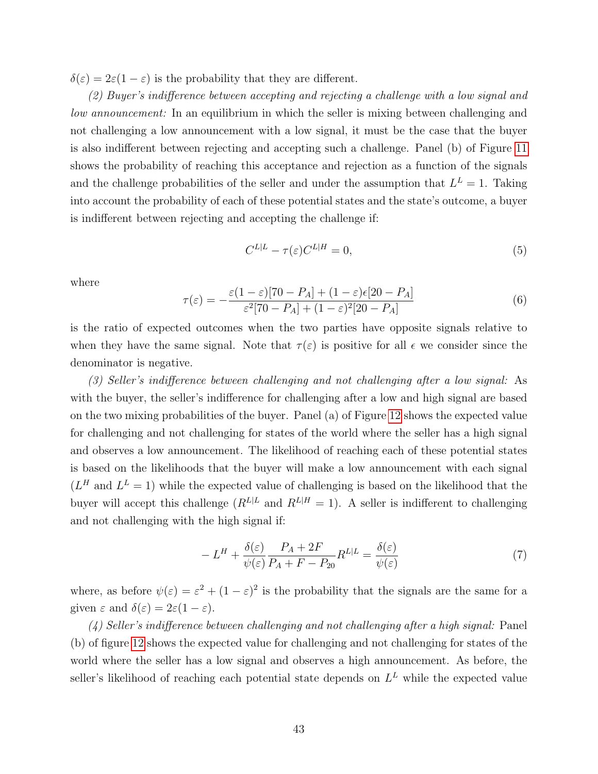$\delta(\varepsilon) = 2\varepsilon(1-\varepsilon)$  is the probability that they are different.

(2) Buyer's indifference between accepting and rejecting a challenge with a low signal and low announcement: In an equilibrium in which the seller is mixing between challenging and not challenging a low announcement with a low signal, it must be the case that the buyer is also indifferent between rejecting and accepting such a challenge. Panel (b) of Figure [11](#page-45-0) shows the probability of reaching this acceptance and rejection as a function of the signals and the challenge probabilities of the seller and under the assumption that  $L^L = 1$ . Taking into account the probability of each of these potential states and the state's outcome, a buyer is indifferent between rejecting and accepting the challenge if:

$$
C^{L|L} - \tau(\varepsilon)C^{L|H} = 0,\t\t(5)
$$

where

$$
\tau(\varepsilon) = -\frac{\varepsilon(1-\varepsilon)[70 - P_A] + (1-\varepsilon)\varepsilon[20 - P_A]}{\varepsilon^2[70 - P_A] + (1-\varepsilon)^2[20 - P_A]} \tag{6}
$$

is the ratio of expected outcomes when the two parties have opposite signals relative to when they have the same signal. Note that  $\tau(\varepsilon)$  is positive for all  $\epsilon$  we consider since the denominator is negative.

(3) Seller's indifference between challenging and not challenging after a low signal: As with the buyer, the seller's indifference for challenging after a low and high signal are based on the two mixing probabilities of the buyer. Panel (a) of Figure [12](#page-46-0) shows the expected value for challenging and not challenging for states of the world where the seller has a high signal and observes a low announcement. The likelihood of reaching each of these potential states is based on the likelihoods that the buyer will make a low announcement with each signal  $(L^H \text{ and } L^L = 1)$  while the expected value of challenging is based on the likelihood that the buyer will accept this challenge  $(R^{L|L}$  and  $R^{L|H} = 1)$ . A seller is indifferent to challenging and not challenging with the high signal if:

$$
-L^{H} + \frac{\delta(\varepsilon)}{\psi(\varepsilon)} \frac{P_A + 2F}{P_A + F - P_{20}} R^{L|L} = \frac{\delta(\varepsilon)}{\psi(\varepsilon)}
$$
(7)

where, as before  $\psi(\varepsilon) = \varepsilon^2 + (1-\varepsilon)^2$  is the probability that the signals are the same for a given  $\varepsilon$  and  $\delta(\varepsilon) = 2\varepsilon(1-\varepsilon)$ .

(4) Seller's indifference between challenging and not challenging after a high signal: Panel (b) of figure [12](#page-46-0) shows the expected value for challenging and not challenging for states of the world where the seller has a low signal and observes a high announcement. As before, the seller's likelihood of reaching each potential state depends on  $L^L$  while the expected value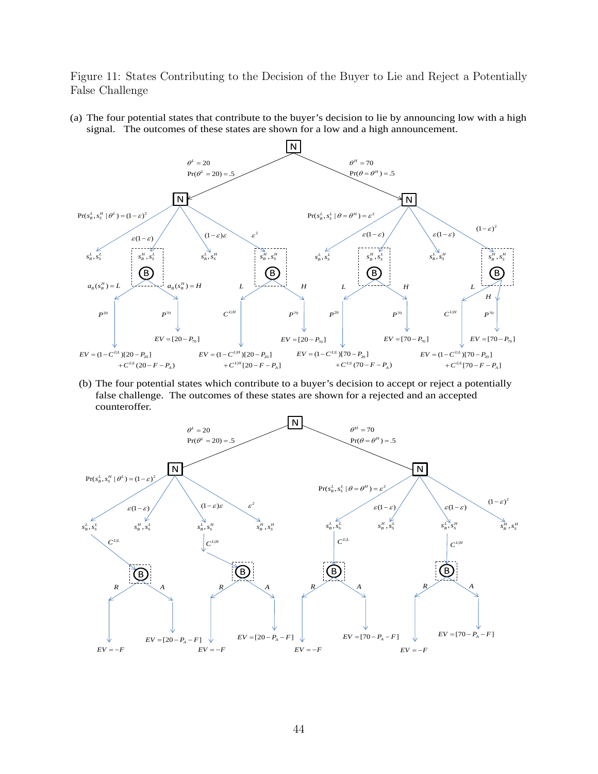<span id="page-45-0"></span>Figure 11: States Contributing to the Decision of the Buyer to Lie and Reject a Potentially False Challenge

(a) The four potential states that contribute to the buyer's decision to lie by announcing low with a high signal. The outcomes of these states are shown for a low and a high announcement.



(b) The four potential states which contribute to a buyer's decision to accept or reject a potentially false challenge. The outcomes of these states are shown for a rejected and an accepted counteroffer.

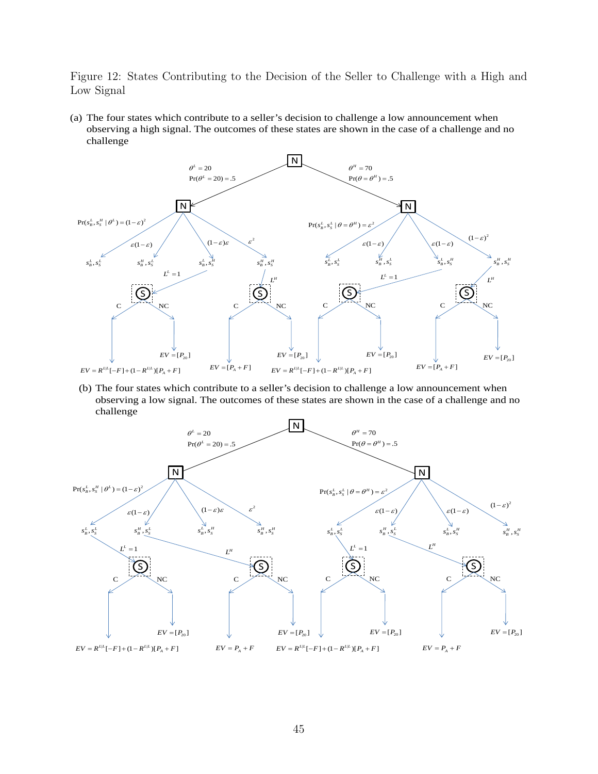<span id="page-46-0"></span>Figure 12: States Contributing to the Decision of the Seller to Challenge with a High and Low Signal

(a) The four states which contribute to a seller's decision to challenge a low announcement when observing a high signal. The outcomes of these states are shown in the case of a challenge and no challenge



(b) The four states which contribute to a seller's decision to challenge a low announcement when observing a low signal. The outcomes of these states are shown in the case of a challenge and no challenge

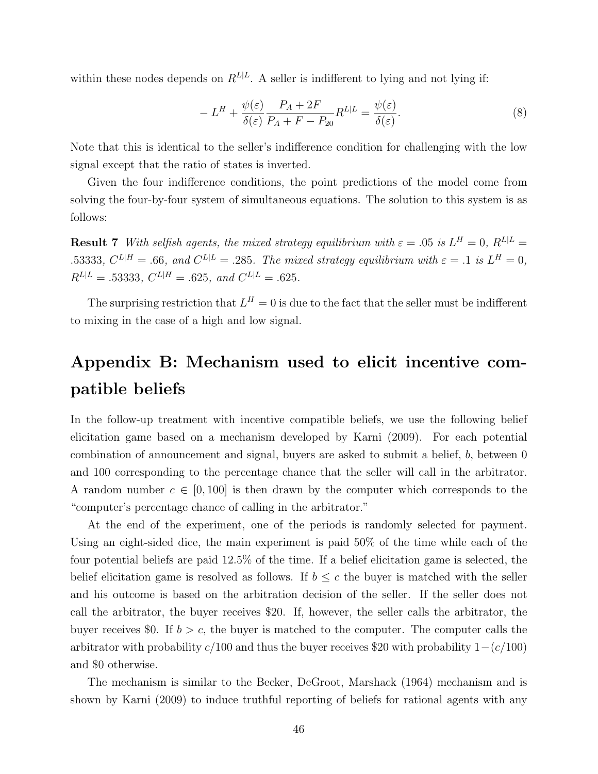within these nodes depends on  $R^{L|L}$ . A seller is indifferent to lying and not lying if:

$$
-L^{H} + \frac{\psi(\varepsilon)}{\delta(\varepsilon)} \frac{P_A + 2F}{P_A + F - P_{20}} R^{L|L} = \frac{\psi(\varepsilon)}{\delta(\varepsilon)}.
$$
\n(8)

Note that this is identical to the seller's indifference condition for challenging with the low signal except that the ratio of states is inverted.

Given the four indifference conditions, the point predictions of the model come from solving the four-by-four system of simultaneous equations. The solution to this system is as follows:

**Result 7** With selfish agents, the mixed strategy equilibrium with  $\varepsilon = .05$  is  $L^H = 0$ ,  $R^{L|L} =$ .53333,  $C^{L|H} = .66$ , and  $C^{L|L} = .285$ . The mixed strategy equilibrium with  $\varepsilon = .1$  is  $L^H = 0$ ,  $R^{L|L} = .53333, C^{L|H} = .625, and C^{L|L} = .625.$ 

The surprising restriction that  $L^H = 0$  is due to the fact that the seller must be indifferent to mixing in the case of a high and low signal.

# Appendix B: Mechanism used to elicit incentive compatible beliefs

In the follow-up treatment with incentive compatible beliefs, we use the following belief elicitation game based on a mechanism developed by Karni (2009). For each potential combination of announcement and signal, buyers are asked to submit a belief, b, between 0 and 100 corresponding to the percentage chance that the seller will call in the arbitrator. A random number  $c \in [0, 100]$  is then drawn by the computer which corresponds to the "computer's percentage chance of calling in the arbitrator."

At the end of the experiment, one of the periods is randomly selected for payment. Using an eight-sided dice, the main experiment is paid 50% of the time while each of the four potential beliefs are paid 12.5% of the time. If a belief elicitation game is selected, the belief elicitation game is resolved as follows. If  $b \leq c$  the buyer is matched with the seller and his outcome is based on the arbitration decision of the seller. If the seller does not call the arbitrator, the buyer receives \$20. If, however, the seller calls the arbitrator, the buyer receives \$0. If  $b > c$ , the buyer is matched to the computer. The computer calls the arbitrator with probability  $c/100$  and thus the buyer receives \$20 with probability  $1-(c/100)$ and \$0 otherwise.

The mechanism is similar to the Becker, DeGroot, Marshack (1964) mechanism and is shown by Karni (2009) to induce truthful reporting of beliefs for rational agents with any